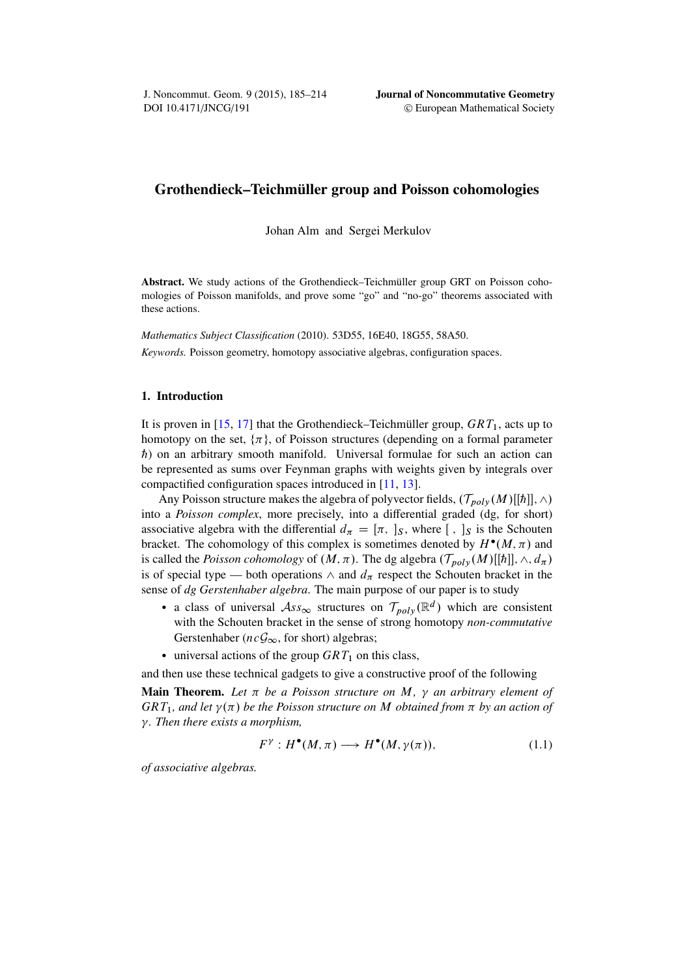## Grothendieck–Teichmüller group and Poisson cohomologies

Johan Alm and Sergei Merkulov

Abstract. We study actions of the Grothendieck–Teichmüller group GRT on Poisson cohomologies of Poisson manifolds, and prove some "go" and "no-go" theorems associated with these actions.

*Mathematics Subject Classification* (2010). 53D55, 16E40, 18G55, 58A50. *Keywords.* Poisson geometry, homotopy associative algebras, configuration spaces.

### 1. Introduction

It is proven in [\[15,](#page-29-0) [17\]](#page-29-1) that the Grothendieck–Teichmüller group,  $GRT_1$ , acts up to homotopy on the set,  $\{\pi\}$ , of Poisson structures (depending on a formal parameter  $\hbar$ ) on an arbitrary smooth manifold. Universal formulae for such an action can be represented as sums over Feynman graphs with weights given by integrals over compactified configuration spaces introduced in [\[11,](#page-28-0) [13\]](#page-28-1).

Any Poisson structure makes the algebra of polyvector fields,  $(\mathcal{T}_{poly}(M)[\hbar]], \wedge)$ into a *Poisson complex*, more precisely, into a differential graded (dg, for short) associative algebra with the differential  $d_{\pi} = [\pi, \,]_S$ , where  $[ , \,]_S$  is the Schouten bracket. The cohomology of this complex is sometimes denoted by  $H^{\bullet}(M, \pi)$  and is called the *Poisson cohomology* of  $(M, \pi)$ . The dg algebra  $(\mathcal{T}_{poly}(M)[[{\hbar}]], \wedge, d_{\pi})$ is of special type — both operations  $\wedge$  and  $d_{\pi}$  respect the Schouten bracket in the sense of *dg Gerstenhaber algebra*. The main purpose of our paper is to study

- a class of universal  $\mathcal{A}ss_{\infty}$  structures on  $\mathcal{T}_{poly}(\mathbb{R}^d)$  which are consistent with the Schouten bracket in the sense of strong homotopy *non-commutative* Gerstenhaber ( $ncG_{\infty}$ , for short) algebras;
- $\bullet$  universal actions of the group  $GRT_1$  on this class,

and then use these technical gadgets to give a constructive proof of the following

**Main Theorem.** Let  $\pi$  be a Poisson structure on M,  $\gamma$  an arbitrary element of  $GRT_1$ , and let  $\gamma(\pi)$  be the Poisson structure on M obtained from  $\pi$  by an action of *. Then there exists a morphism,*

<span id="page-0-0"></span>
$$
F^{\gamma}: H^{\bullet}(M, \pi) \longrightarrow H^{\bullet}(M, \gamma(\pi)), \tag{1.1}
$$

*of associative algebras.*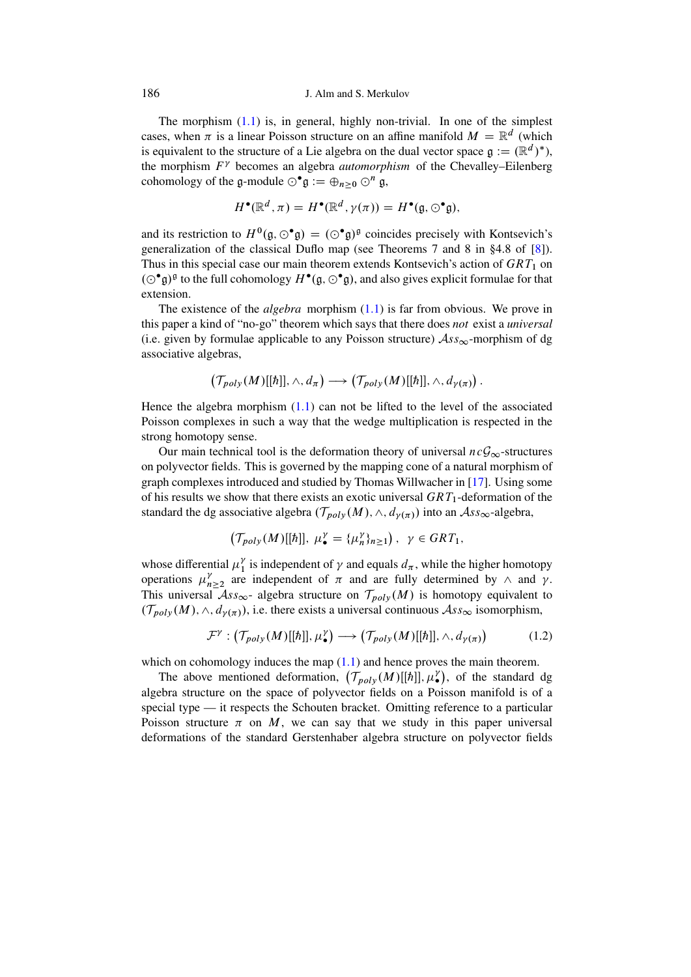The morphism  $(1.1)$  is, in general, highly non-trivial. In one of the simplest cases, when  $\pi$  is a linear Poisson structure on an affine manifold  $M = \mathbb{R}^d$  (which is equivalent to the structure of a Lie algebra on the dual vector space  $\mathfrak{g} := (\mathbb{R}^d)^*$ ), the morphism  $F<sup>\gamma</sup>$  becomes an algebra *automorphism* of the Chevalley–Eilenberg cohomology of the g-module  $\odot^{\bullet} \mathfrak{g} := \bigoplus_{n \geq 0} \odot^n \mathfrak{g}$ ,

$$
H^{\bullet}(\mathbb{R}^d, \pi) = H^{\bullet}(\mathbb{R}^d, \gamma(\pi)) = H^{\bullet}(\mathfrak{g}, \odot^{\bullet} \mathfrak{g}),
$$

and its restriction to  $H^0(\mathfrak{g}, \odot^{\bullet} \mathfrak{g}) = (\odot^{\bullet} \mathfrak{g})^{\mathfrak{g}}$  coincides precisely with Kontsevich's generalization of the classical Duflo map (see Theorems 7 and 8 in §4.8 of [\[8\]](#page-28-2)). Thus in this special case our main theorem extends Kontsevich's action of  $GRT_1$  on  $(\odot^{\bullet} \mathfrak{g})^{\mathfrak{g}}$  to the full cohomology  $H^{\bullet}(\mathfrak{g}, \odot^{\bullet} \mathfrak{g})$ , and also gives explicit formulae for that extension.

The existence of the *algebra* morphism [\(1.1\)](#page-0-0) is far from obvious. We prove in this paper a kind of "no-go" theorem which says that there does *not* exist a *universal* (i.e. given by formulae applicable to any Poisson structure)  $\mathcal{A}ss_{\infty}$ -morphism of dg associative algebras,

$$
\left(\mathcal{T}_{poly}(M)[[\hbar]], \wedge, d_{\pi}\right) \longrightarrow \left(\mathcal{T}_{poly}(M)[[\hbar]], \wedge, d_{\gamma(\pi)}\right).
$$

Hence the algebra morphism  $(1.1)$  can not be lifted to the level of the associated Poisson complexes in such a way that the wedge multiplication is respected in the strong homotopy sense.

Our main technical tool is the deformation theory of universal  $ncG_{\infty}$ -structures on polyvector fields. This is governed by the mapping cone of a natural morphism of graph complexes introduced and studied by Thomas Willwacher in [\[17\]](#page-29-1). Using some of his results we show that there exists an exotic universal  $GRT_1$ -deformation of the standard the dg associative algebra  $(\mathcal{T}_{poly}(M), \wedge, d_{\gamma(\pi)})$  into an  $\mathcal{A}ss_{\infty}$ -algebra,

$$
\left(\mathcal{T}_{poly}(M)[[\hbar]], \ \mu_{\bullet}^{\gamma}=\{\mu_n^{\gamma}\}_{n\geq 1}\right), \ \ \gamma \in GRT_1,
$$

whose differential  $\mu_1^{\gamma}$  $\frac{\gamma}{1}$  is independent of  $\gamma$  and equals  $d_{\pi}$ , while the higher homotopy operations  $\mu_{n\geq2}^{\gamma}$  are independent of  $\pi$  and are fully determined by  $\wedge$  and  $\gamma$ . This universal  $As_{\infty}$ - algebra structure on  $\mathcal{T}_{poly}(M)$  is homotopy equivalent to  $(\mathcal{T}_{poly}(M), \wedge, d_{\gamma(\pi)})$ , i.e. there exists a universal continuous  $\mathcal{A}ss_{\infty}$  isomorphism,

$$
\mathcal{F}^{\gamma} : (\mathcal{T}_{poly}(M)[[{\hbar}]], \mu_{\bullet}^{\gamma}) \longrightarrow (\mathcal{T}_{poly}(M)[[{\hbar}]], \wedge, d_{\gamma(\pi)}) \tag{1.2}
$$

which on cohomology induces the map  $(1.1)$  and hence proves the main theorem.

The above mentioned deformation,  $(\mathcal{T}_{poly}(M)[[\hbar]], \mu_{\bullet}^{\gamma})$ , of the standard dg algebra structure on the space of polyvector fields on a Poisson manifold is of a special type — it respects the Schouten bracket. Omitting reference to a particular Poisson structure  $\pi$  on M, we can say that we study in this paper universal deformations of the standard Gerstenhaber algebra structure on polyvector fields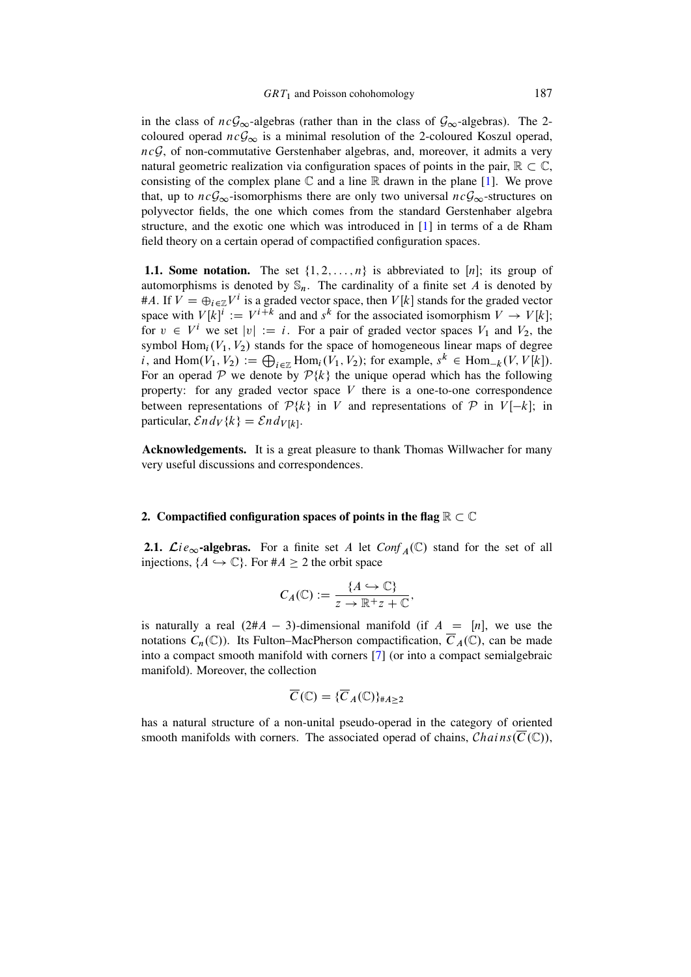in the class of  $ncG_{\infty}$ -algebras (rather than in the class of  $G_{\infty}$ -algebras). The 2coloured operad  $nc\mathcal{G}_{\infty}$  is a minimal resolution of the 2-coloured Koszul operad,  $ncG$ , of non-commutative Gerstenhaber algebras, and, moreover, it admits a very natural geometric realization via configuration spaces of points in the pair,  $\mathbb{R} \subset \mathbb{C}$ , consisting of the complex plane  $\mathbb C$  and a line  $\mathbb R$  drawn in the plane [\[1\]](#page-28-3). We prove that, up to  $ncG_{\infty}$ -isomorphisms there are only two universal  $ncG_{\infty}$ -structures on polyvector fields, the one which comes from the standard Gerstenhaber algebra structure, and the exotic one which was introduced in [\[1\]](#page-28-3) in terms of a de Rham field theory on a certain operad of compactified configuration spaces.

1.1. Some notation. The set  $\{1, 2, \ldots, n\}$  is abbreviated to [n]; its group of automorphisms is denoted by  $\mathbb{S}_n$ . The cardinality of a finite set A is denoted by #A. If  $V = \bigoplus_{i \in \mathbb{Z}} V^i$  is a graded vector space, then  $V[k]$  stands for the graded vector space with  $V[k]^i := V^{i+k}$  and and  $s^k$  for the associated isomorphism  $V \to V[k]$ ; for  $v \in V^i$  we set  $|v| := i$ . For a pair of graded vector spaces  $V_1$  and  $V_2$ , the symbol  $Hom_i(V_1, V_2)$  stands for the space of homogeneous linear maps of degree *i*, and  $\text{Hom}(V_1, V_2) := \bigoplus_{i \in \mathbb{Z}} \text{Hom}_i(V_1, V_2)$ ; for example,  $s^k \in \text{Hom}_{-k}(V, V[k])$ . For an operad P we denote by  $P\{k\}$  the unique operad which has the following property: for any graded vector space  $V$  there is a one-to-one correspondence between representations of  $P\{k\}$  in V and representations of P in  $V[-k]$ ; in particular,  $\mathcal{E}nd_V\{k\} = \mathcal{E}nd_{V[k]}$ .

Acknowledgements. It is a great pleasure to thank Thomas Willwacher for many very useful discussions and correspondences.

### 2. Compactified configuration spaces of points in the flag  $\mathbb{R} \subset \mathbb{C}$

**2.1.**  $\mathcal{L}ie_{\infty}$ -algebras. For a finite set A let  $Conf_A(\mathbb{C})$  stand for the set of all injections,  $\{A \hookrightarrow \mathbb{C}\}$ . For  $\#A \geq 2$  the orbit space

$$
C_A(\mathbb{C}) := \frac{\{A \hookrightarrow \mathbb{C}\}}{z \to \mathbb{R}^+ z + \mathbb{C}},
$$

is naturally a real  $(2#A - 3)$ -dimensional manifold (if  $A = [n]$ , we use the notations  $C_n(\mathbb{C})$ . Its Fulton–MacPherson compactification,  $\overline{C}_A(\mathbb{C})$ , can be made into a compact smooth manifold with corners [\[7\]](#page-28-4) (or into a compact semialgebraic manifold). Moreover, the collection

$$
\overline{C}(\mathbb{C}) = \{ \overline{C}_A(\mathbb{C}) \}_{\#A \ge 2}
$$

has a natural structure of a non-unital pseudo-operad in the category of oriented smooth manifolds with corners. The associated operad of chains,  $Chains(\overline{C}(\mathbb{C}))$ ,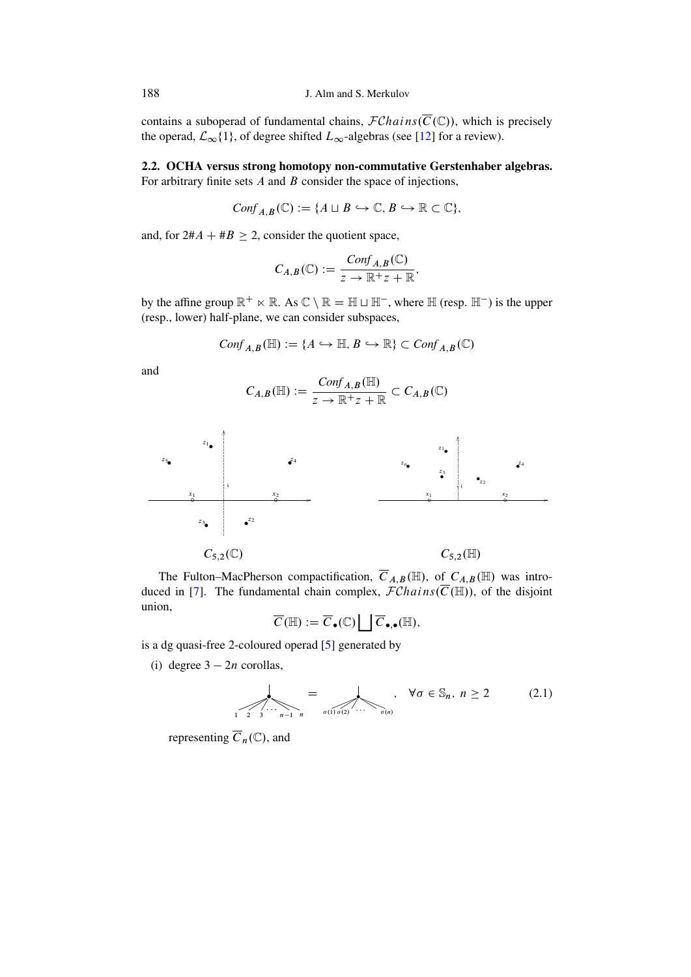contains a suboperad of fundamental chains,  $\mathcal{F}Chains(\overline{C}(\mathbb{C}))$ , which is precisely the operad,  $\mathcal{L}_{\infty}\{1\}$ , of degree shifted  $L_{\infty}$ -algebras (see [12] for a review).

# 2.2. OCHA versus strong homotopy non-commutative Gerstenhaber algebras. For arbitrary finite sets  $A$  and  $B$  consider the space of injections,

$$
Conf_{A,B}(\mathbb{C}) := \{ A \sqcup B \hookrightarrow \mathbb{C}, B \hookrightarrow \mathbb{R} \subset \mathbb{C} \},
$$

and, for  $2\#A + \#B \geq 2$ , consider the quotient space,

$$
C_{A,B}(\mathbb{C}) := \frac{Conf_{A,B}(\mathbb{C})}{z \to \mathbb{R}^+ z + \mathbb{R}}
$$

by the affine group  $\mathbb{R}^+ \ltimes \mathbb{R}$ . As  $\mathbb{C} \setminus \mathbb{R} = \mathbb{H} \sqcup \mathbb{H}^-$ , where  $\mathbb{H}$  (resp.  $\mathbb{H}^-$ ) is the upper (resp., lower) half-plane, we can consider subspaces,

$$
Conf_{A,B}(\mathbb{H}) := \{ A \hookrightarrow \mathbb{H}, B \hookrightarrow \mathbb{R} \} \subset Conf_{A,B}(\mathbb{C})
$$

and

$$
C_{A,B}(\mathbb{H}):=\frac{Conf_{A,B}(\mathbb{H})}{z\to \mathbb{R}^+ z+\mathbb{R}}\subset C_{A,B}(\mathbb{C})
$$



The Fulton–MacPherson compactification,  $\overline{C}_{A,B}(\mathbb{H})$ , of  $C_{A,B}(\mathbb{H})$  was introduced in [7]. The fundamental chain complex,  $\mathcal{F}Chains(\overline{C}(\mathbb{H}))$ , of the disjoint union,

$$
\overline{C}(\mathbb{H}) := \overline{C}_{\bullet}(\mathbb{C}) \bigsqcup \overline{C}_{\bullet,\bullet}(\mathbb{H}),
$$

is a dg quasi-free 2-coloured operad [5] generated by

(i) degree  $3 - 2n$  corollas,

<span id="page-3-0"></span>
$$
= \bigotimes_{1 \leq 2 \leq 3 \leq n-1} \bigotimes_{n \text{ odd}} \bigotimes_{\sigma(1) \sigma(2)} \dots \bigotimes_{\sigma(n)} \bigotimes \sigma \in \mathbb{S}_n, n \geq 2 \tag{2.1}
$$

representing  $\overline{C}_n(\mathbb{C})$ , and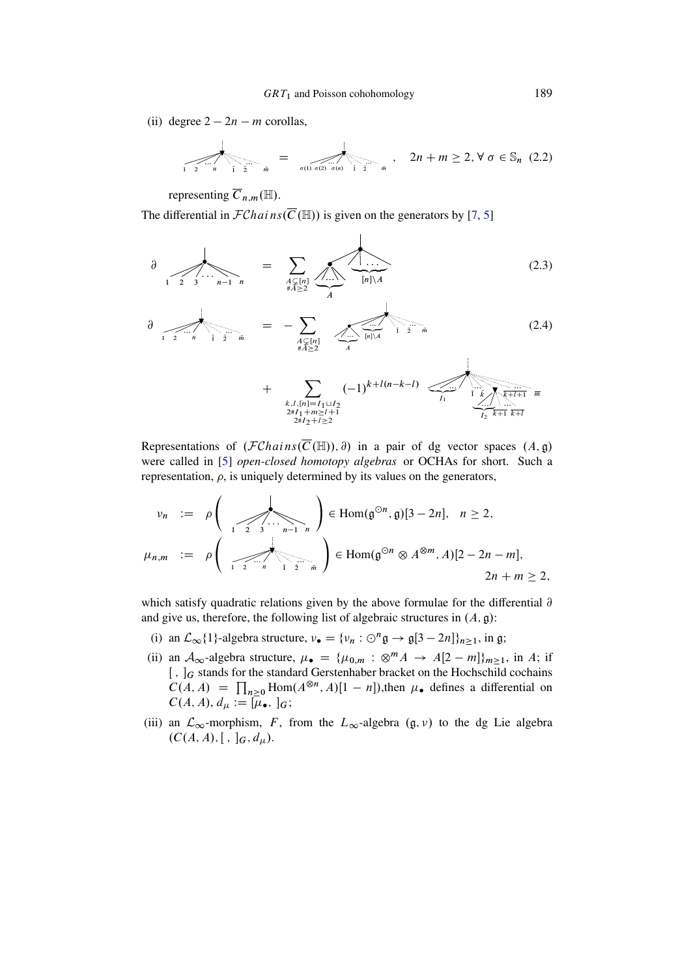(ii) degree  $2 - 2n - m$  corollas,

<span id="page-4-0"></span>
$$
\sum_{1 \ 2 \ \cdots n} = \sum_{\bar{0} \ (1) \ \sigma(2) \ \sigma(n)} \sum_{\bar{1} \ \bar{2} \ \bar{m}}, \quad 2n + m \ge 2, \forall \ \sigma \in \mathbb{S}_n \ (2.2)
$$

representing  $\overline{C}_{n,m}(\mathbb{H})$ .

The differential in  $\mathcal{F}Chains(\overline{C}(\mathbb{H}))$  is given on the generators by [7, 5]

<span id="page-4-1"></span>
$$
\frac{\partial}{\partial \sum_{1 \leq 2 \leq 3} \cdots \sum_{n-1 \leq n} n} = \sum_{\substack{A \subset [n] \\ \#A \geq 2}} \underbrace{\sum_{A \subset \{n\}} \cdots \sum_{[n]\setminus A}}_{A} \underbrace{(2.3)}
$$

$$
\frac{\partial}{\partial \sum_{\substack{1 \ 2 \ 2 \ 2 \ 2}} \cdots \sum_{\substack{1 \ 2 \ 2 \ 2 \ 2}} \cdots \sum_{\substack{A \subset [n] \\ \#A \ge 2}} \sum_{\substack{A \ | \ n \ge 2}} \cdots \sum_{\substack{[n] \setminus A}} \sum_{\substack{1 \ 2 \ 2 \ 2 \ 2 \ 2 \ 2 \ 2 \ 2 \ 2}} (2.4)
$$

+ 
$$
\sum_{\substack{k,l,[n]=I_1\sqcup I_2\\2\#I_1+m\geq l+1\\2\#I_2+l\geq 2}} (-1)^{k+l(n-k-l)} \underbrace{\leftarrow}_{I_1} \underbrace{\leftarrow}_{I_2} \underbrace{\leftarrow}_{\substack{k+l+1\\k+l\\k+l}} \pi
$$

Representations of  $(FChains(\overline{C}(\mathbb{H}))$ ,  $\partial)$  in a pair of dg vector spaces  $(A, \mathfrak{g})$ were called in [5] open-closed homotopy algebras or OCHAs for short. Such a representation,  $\rho$ , is uniquely determined by its values on the generators,

$$
\nu_n := \rho \left( \sum_{1 \leq 2 \leq n} \sum_{n=1}^{\infty} \sum_{n=1}^{\infty} \beta_n \right) \in \text{Hom}(\mathfrak{g}^{\odot n}, \mathfrak{g})[3 - 2n], \quad n \geq 2,
$$
\n
$$
\mu_{n,m} := \rho \left( \sum_{1 \leq 2 \leq n} \sum_{n=1}^{\infty} \sum_{\substack{n=2 \leq n}}^{\infty} \beta_n \right) \in \text{Hom}(\mathfrak{g}^{\odot n} \otimes A^{\otimes m}, A)[2 - 2n - m],
$$
\n
$$
2n + m \geq 2,
$$

which satisfy quadratic relations given by the above formulae for the differential  $\partial$ and give us, therefore, the following list of algebraic structures in  $(A, \mathfrak{g})$ :

- (i) an  $\mathcal{L}_{\infty}\{1\}$ -algebra structure,  $v_{\bullet} = \{v_n : \bigcirc^n \mathfrak{g} \to \mathfrak{g}[3 2n]\}_{n \geq 1}$ , in g;
- (ii) an  $A_{\infty}$ -algebra structure,  $\mu_{\bullet} = {\mu_{0,m} : \otimes^m A \rightarrow A[2-m]}_{m \geq 1}$ , in A; if  $[ , ]$  g stands for the standard Gerstenhaber bracket on the Hochschild cochains  $C(A, A) = \prod_{n>0}$ Hom $(A^{\otimes n}, A)[1 - n]$ ), then  $\mu_{\bullet}$  defines a differential on  $C(A, A), d_\mu := [\mu_\bullet, \,]_G;$
- (iii) an  $\mathcal{L}_{\infty}$ -morphism, F, from the  $L_{\infty}$ -algebra  $(g, v)$  to the dg Lie algebra  $(C(A, A), [ , ]_G, d_\mu).$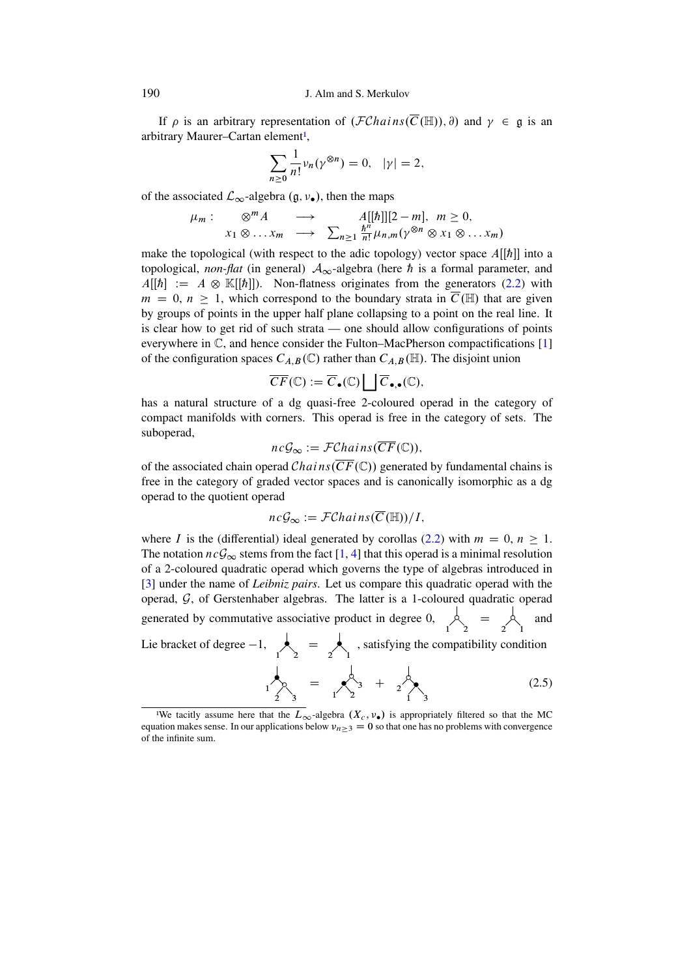If  $\rho$  is an arbitrary representation of  $(\mathcal{F}Chains(\overline{C}(\mathbb{H}))$ ,  $\partial)$  and  $\gamma \in \mathfrak{g}$  is an arbitrary Maurer-Cartan element<sup>1</sup>,

$$
\sum_{n\geq 0} \frac{1}{n!} \nu_n(\gamma^{\otimes n}) = 0, \quad |\gamma| = 2,
$$

of the associated  $\mathcal{L}_{\infty}$ -algebra  $(\mathfrak{g}, \nu_{\bullet})$ , then the maps

$$
\mu_m: \otimes^m A \longrightarrow A[[\hbar]][2-m], m \ge 0,\n x_1 \otimes \ldots x_m \longrightarrow \sum_{n \ge 1} \frac{\hbar^n}{n!} \mu_{n,m}(\gamma^{\otimes n} \otimes x_1 \otimes \ldots x_m)
$$

make the topological (with respect to the adic topology) vector space  $A[[\hbar]]$  into a topological, non-flat (in general)  $A_{\infty}$ -algebra (here h is a formal parameter, and  $A[[\hbar]] := A \otimes \mathbb{K}[[\hbar]]$ . Non-flatness originates from the generators (2.2) with  $m = 0$ ,  $n \ge 1$ , which correspond to the boundary strata in  $\overline{C}(\mathbb{H})$  that are given by groups of points in the upper half plane collapsing to a point on the real line. It is clear how to get rid of such strata — one should allow configurations of points everywhere in  $\mathbb{C}$ , and hence consider the Fulton–MacPherson compactifications [1] of the configuration spaces  $C_{A,B}(\mathbb{C})$  rather than  $C_{A,B}(\mathbb{H})$ . The disjoint union

$$
\overline{CF}(\mathbb{C}) := \overline{C}_{\bullet}(\mathbb{C}) \bigsqcup \overline{C}_{\bullet,\bullet}(\mathbb{C}),
$$

has a natural structure of a dg quasi-free 2-coloured operad in the category of compact manifolds with corners. This operad is free in the category of sets. The suboperad,

$$
ncG_{\infty} := \mathcal{FC}hains(CF(\mathbb{C})),
$$

of the associated chain operad *Chains* ( $\overline{CF}(\mathbb{C})$ ) generated by fundamental chains is free in the category of graded vector spaces and is canonically isomorphic as a dg operad to the quotient operad

$$
nc\mathcal{G}_{\infty} := \mathcal{FC}hains(\overline{C}(\mathbb{H}))/I,
$$

where *I* is the (differential) ideal generated by corollas (2.2) with  $m = 0$ ,  $n \ge 1$ . The notation  $nc\mathcal{G}_{\infty}$  stems from the fact [1, 4] that this operad is a minimal resolution of a 2-coloured quadratic operad which governs the type of algebras introduced in [3] under the name of *Leibniz pairs*. Let us compare this quadratic operad with the operad,  $G$ , of Gerstenhaber algebras. The latter is a 1-coloured quadratic operad generated by commutative associative product in degree 0,  $\beta$  =  $\beta$ and

Lie bracket of degree  $-1$ ,  $\qquad \qquad$  =  $\qquad \qquad$  , satisfying the compatibility condition  $\frac{1}{2}$  =  $\frac{1}{2}$  +  $\frac{1}{2}$  $(2.5)$ 

190

<span id="page-5-1"></span><span id="page-5-0"></span><sup>&</sup>lt;sup>1</sup>We tacitly assume here that the  $L_{\infty}$ -algebra  $(X_c, \nu_{\bullet})$  is appropriately filtered so that the MC equation makes sense. In our applications below  $v_{n\geq 3} = 0$  so that one has no problems with convergence of the infinite sum.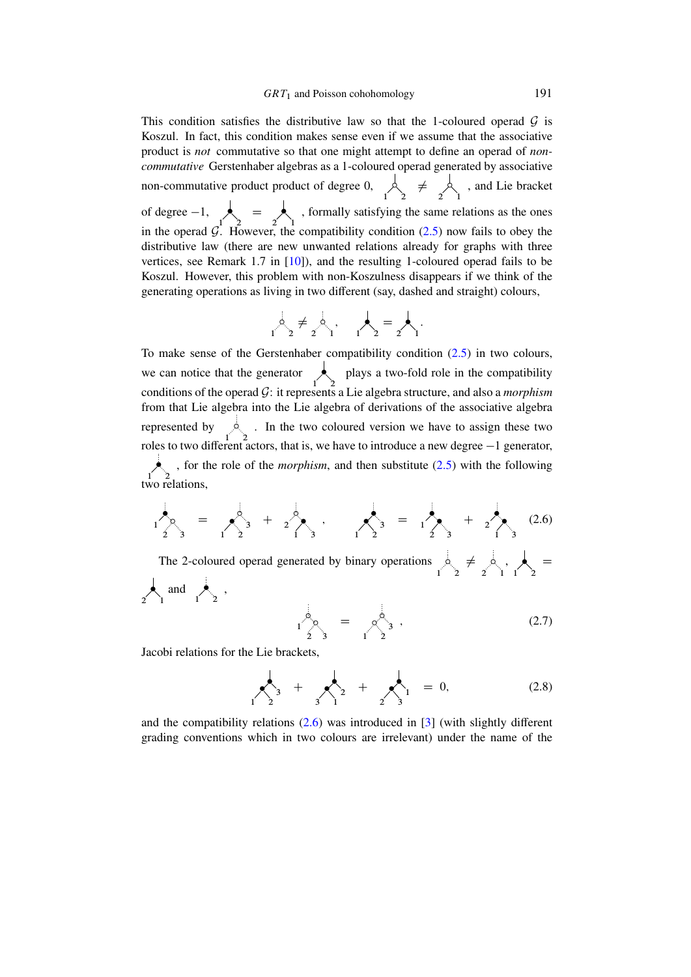This condition satisfies the distributive law so that the 1-coloured operad  $\mathcal G$  is Koszul. In fact, this condition makes sense even if we assume that the associative product is *not* commutative so that one might attempt to define an operad of *noncommutative* Gerstenhaber algebras as a 1-coloured operad generated by associative non-commutative product product of degree 0,  $\bigwedge_1^{\{1\}}$ لم ≠  $\sum_{1}^{6}$ , and Lie bracket of degree  $-1$ ,  $\begin{bmatrix} 1 \end{bmatrix}$  $\qquad \qquad =$  $\sum_{1}$ , formally satisfying the same relations as the ones in the operad  $\mathcal{G}$ . However, the compatibility condition [\(2.5\)](#page-5-1) now fails to obey the distributive law (there are new unwanted relations already for graphs with three vertices, see Remark 1.7 in [\[10\]](#page-28-9)), and the resulting 1-coloured operad fails to be Koszul. However, this problem with non-Koszulness disappears if we think of the generating operations as living in two different (say, dashed and straight) colours,

$$
\alpha_1 \stackrel{\bigcirc}{\sim} \beta_2 \neq \alpha_1 \stackrel{\bigcirc}{\sim} \alpha_1 \qquad \alpha_2 \stackrel{\bigcirc}{\sim} \beta_2 = \alpha_1 \cdot \alpha_1
$$

To make sense of the Gerstenhaber compatibility condition  $(2.5)$  in two colours, we can notice that the generator  $\sum_{1}^{\infty}$  plays a two-fold role in the compatibility conditions of the operad G: it represents a Lie algebra structure, and also a *morphism* from that Lie algebra into the Lie algebra of derivations of the associative algebra represented by  $\frac{1}{2}$ . In the two coloured version we have to assign these two roles to two different actors, that is, we have to introduce a new degree  $-1$  generator, ۏ , for the role of the *morphism*, and then substitute [\(2.5\)](#page-5-1) with the following two relations,

<span id="page-6-0"></span>
$$
1\begin{matrix}1\\2\end{matrix}\begin{matrix}0\\3\end{matrix}=\begin{matrix}0\\2\end{matrix}\begin{matrix}0\\3\end{matrix}+\begin{matrix}0\\2\end{matrix}\begin{matrix}0\\3\end{matrix},\begin{matrix}0\end{matrix}\begin{matrix}0\end{matrix}=\begin{matrix}0\\1\end{matrix}\begin{matrix}0\\2\end{matrix}=\begin{matrix}0\\1\end{matrix}\begin{matrix}0\end{matrix}+\begin{matrix}0\\2\end{matrix}\begin{matrix}0\end{matrix}
$$

The 2-coloured operad generated by binary operations ı 21  $\neq$  . 12 لج , 1 2  $=$ ↓ 2<sup>1</sup> and  $\sum_{1}^{1}$ ,

<span id="page-6-1"></span>
$$
1\bigotimes_{2}^{3} = \bigotimes_{1}^{3} , \qquad (2.7)
$$

Jacobi relations for the Lie brackets,

<span id="page-6-2"></span>
$$
\sum_{1}^{1} 3 + \sum_{3}^{1} 2 + \sum_{2}^{1} = 0, \qquad (2.8)
$$

and the compatibility relations  $(2.6)$  was introduced in [\[3\]](#page-28-8) (with slightly different grading conventions which in two colours are irrelevant) under the name of the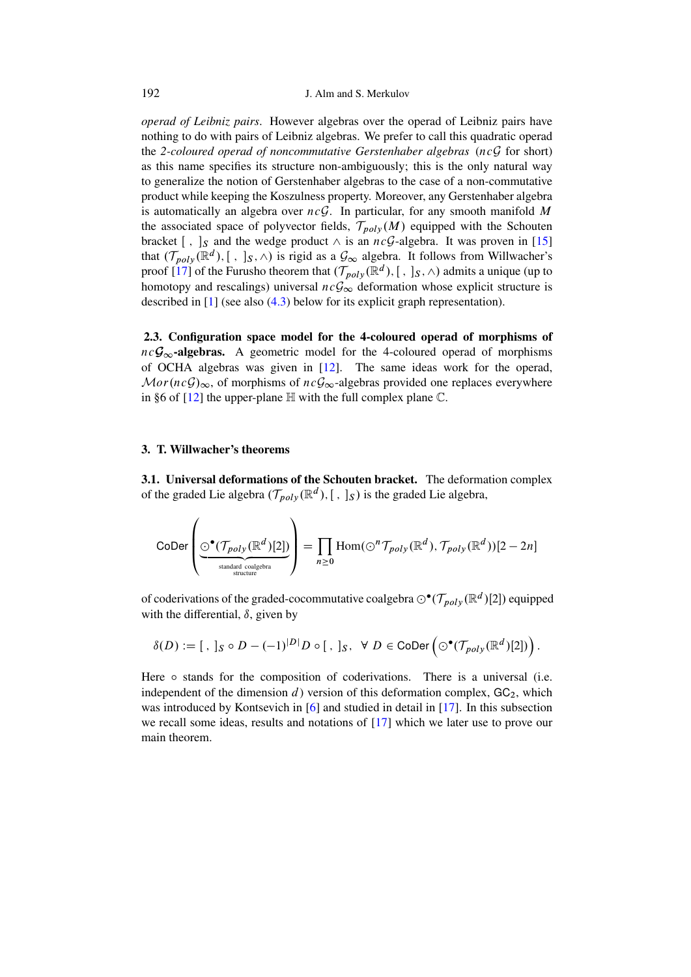*operad of Leibniz pairs*. However algebras over the operad of Leibniz pairs have nothing to do with pairs of Leibniz algebras. We prefer to call this quadratic operad the *2-coloured operad of noncommutative Gerstenhaber algebras* (ncG for short) as this name specifies its structure non-ambiguously; this is the only natural way to generalize the notion of Gerstenhaber algebras to the case of a non-commutative product while keeping the Koszulness property. Moreover, any Gerstenhaber algebra is automatically an algebra over  $ncG$ . In particular, for any smooth manifold M the associated space of polyvector fields,  $\mathcal{T}_{poly}(M)$  equipped with the Schouten bracket [,  $\int_S$  and the wedge product  $\wedge$  is an  $ncG$ -algebra. It was proven in [\[15\]](#page-29-0) that  $(\mathcal{T}_{poly}(\mathbb{R}^d), [ , ]_S, \wedge)$  is rigid as a  $\mathcal{G}_{\infty}$  algebra. It follows from Willwacher's proof  $[17]$  of the Furusho theorem that  $(\mathcal{T}_{poly}(\mathbb{R}^d), [ , ]_S, \wedge)$  admits a unique (up to homotopy and rescalings) universal  $nc\mathcal{G}_{\infty}$  deformation whose explicit structure is described in [\[1\]](#page-28-3) (see also [\(4.3\)](#page-18-0) below for its explicit graph representation).

2.3. Configuration space model for the 4-coloured operad of morphisms of  $nc\mathcal{G}_{\infty}$ -algebras. A geometric model for the 4-coloured operad of morphisms of OCHA algebras was given in [\[12\]](#page-28-5). The same ideas work for the operad,  $Mor(ncG)_{\infty}$ , of morphisms of  $ncG_{\infty}$ -algebras provided one replaces everywhere in §6 of  $[12]$  the upper-plane  $\mathbb H$  with the full complex plane  $\mathbb C$ .

### 3. T. Willwacher's theorems

3.1. Universal deformations of the Schouten bracket. The deformation complex of the graded Lie algebra  $(\mathcal{T}_{poly}(\mathbb{R}^d), [ , ]_S)$  is the graded Lie algebra,

$$
\text{CoDer}\left(\underbrace{\odot^{\bullet}(\mathcal{T}_{poly}(\mathbb{R}^d)[2])}_{\text{standard coalgebra}}\right) = \prod_{n \geq 0} \text{Hom}(\odot^n \mathcal{T}_{poly}(\mathbb{R}^d), \mathcal{T}_{poly}(\mathbb{R}^d))[2-2n]
$$

of coderivations of the graded-cocommutative coalgebra  $\odot^\bullet(\mathcal{T}_{poly}(\mathbb{R}^d)[2])$  equipped with the differential,  $\delta$ , given by

$$
\delta(D) := [ \ , \ ]_S \circ D - (-1)^{|D|} D \circ [ \ , \ ]_S, \ \ \forall \ D \in \mathrm{CoDer} \left( \odot^\bullet(\mathcal{T}_{poly}(\mathbb{R}^d)[2]) \right).
$$

Here  $\circ$  stands for the composition of coderivations. There is a universal (i.e. independent of the dimension  $d$ ) version of this deformation complex,  $GC<sub>2</sub>$ , which was introduced by Kontsevich in [\[6\]](#page-28-10) and studied in detail in [\[17\]](#page-29-1). In this subsection we recall some ideas, results and notations of [\[17\]](#page-29-1) which we later use to prove our main theorem.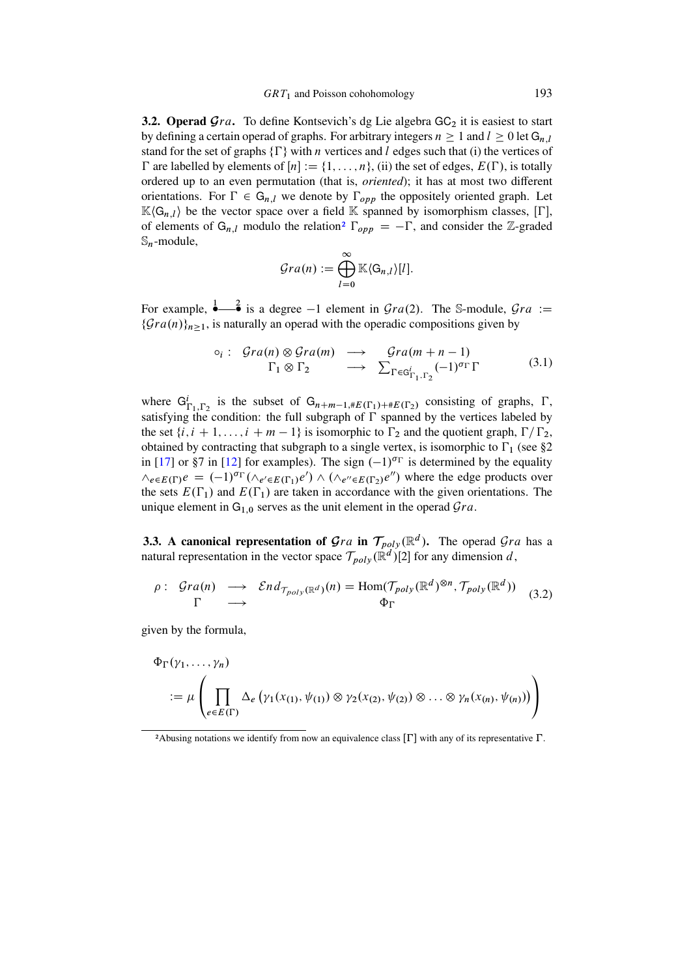<span id="page-8-2"></span>**3.2. Operad**  $\mathcal{G}ra$ **.** To define Kontsevich's dg Lie algebra  $GC_2$  it is easiest to start by defining a certain operad of graphs. For arbitrary integers  $n \geq 1$  and  $l \geq 0$  let  $G_{n,l}$ stand for the set of graphs  $\{\Gamma\}$  with *n* vertices and *l* edges such that (i) the vertices of  $\Gamma$  are labelled by elements of  $[n] := \{1, \ldots, n\}$ , (ii) the set of edges,  $E(\Gamma)$ , is totally ordered up to an even permutation (that is, *oriented*); it has at most two different orientations. For  $\Gamma \in G_{n,l}$  we denote by  $\Gamma_{opp}$  the oppositely oriented graph. Let  $\mathbb{K}\langle\mathsf{G}_{n,l}\rangle$  be the vector space over a field  $\mathbb K$  spanned by isomorphism classes,  $[\Gamma]$ , of eleme[n](#page-8-0)ts of  $G_{n,l}$  modulo the relation<sup>2</sup>  $\Gamma_{opp} = -\Gamma$ , and consider the Z-graded  $\mathbb{S}_n$ -module,

$$
Gra(n) := \bigoplus_{l=0}^{\infty} \mathbb{K} \langle G_{n,l} \rangle [l].
$$

For example,  $\frac{1}{2}$  is a degree  $-1$  element in  $\mathcal{G}ra(2)$ . The S-module,  $\mathcal{G}ra :=$  $\{\mathcal{G}ra(n)\}_{n>1}$ , is naturally an operad with the operadic compositions given by

$$
\circ_i: \operatorname{Gra}(n) \otimes \operatorname{Gra}(m) \longrightarrow \operatorname{Gra}(m+n-1) \\
\Gamma_1 \otimes \Gamma_2 \longrightarrow \sum_{\Gamma \in G_{\Gamma_1,\Gamma_2}^i} (-1)^{\sigma_{\Gamma}} \Gamma \tag{3.1}
$$

where  $G_{\Gamma_1,\Gamma_2}^i$  is the subset of  $G_{n+m-1,\#E(\Gamma_1)+E(\Gamma_2)}$  consisting of graphs,  $\Gamma$ , satisfying the condition: the full subgraph of  $\Gamma$  spanned by the vertices labeled by the set  $\{i, i + 1, \ldots, i + m - 1\}$  is isomorphic to  $\Gamma_2$  and the quotient graph,  $\Gamma/\Gamma_2$ , obtained by contracting that subgraph to a single vertex, is isomorphic to  $\Gamma_1$  (see §2 in [\[17\]](#page-29-1) or §7 in [\[12\]](#page-28-5) for examples). The sign  $(-1)^{\sigma_{\Gamma}}$  is determined by the equality  $\wedge_{e \in E(\Gamma)} e = (-1)^{\sigma_{\Gamma}} (\wedge_{e' \in E(\Gamma_1)} e') \wedge (\wedge_{e'' \in E(\Gamma_2)} e'')$  where the edge products over the sets  $E(\Gamma_1)$  and  $E(\Gamma_1)$  are taken in accordance with the given orientations. The unique element in  $G_{1,0}$  serves as the unit element in the operad  $Gra$ .

**3.3.** A canonical representation of  $\mathcal{G}ra$  in  $\mathcal{T}_{poly}(\mathbb{R}^d)$ . The operad  $\mathcal{G}ra$  has a natural representation in the vector space  $\mathcal{T}_{poly}(\mathbb{R}^d)[2]$  for any dimension d,

<span id="page-8-1"></span>
$$
\rho: \operatorname{Grad}_{\mathcal{T}_{poly}(\mathbb{R}^d)}(n) = \operatorname{Hom}(\mathcal{T}_{poly}(\mathbb{R}^d)^{\otimes n}, \mathcal{T}_{poly}(\mathbb{R}^d))
$$
\n
$$
\Gamma \longrightarrow \Phi_{\Gamma} \tag{3.2}
$$

given by the formula,

$$
\Phi_{\Gamma}(\gamma_1,\ldots,\gamma_n)
$$
  
:=  $\mu\left(\prod_{e\in E(\Gamma)} \Delta_e(\gamma_1(x_{(1)},\psi_{(1)})\otimes\gamma_2(x_{(2)},\psi_{(2)})\otimes\ldots\otimes\gamma_n(x_{(n)},\psi_{(n)}))\right)$ 

<span id="page-8-0"></span><sup>&</sup>lt;sup>2</sup>Abusing notations we identify from now an equivalence class  $[\Gamma]$  with any of its representative  $\Gamma$ .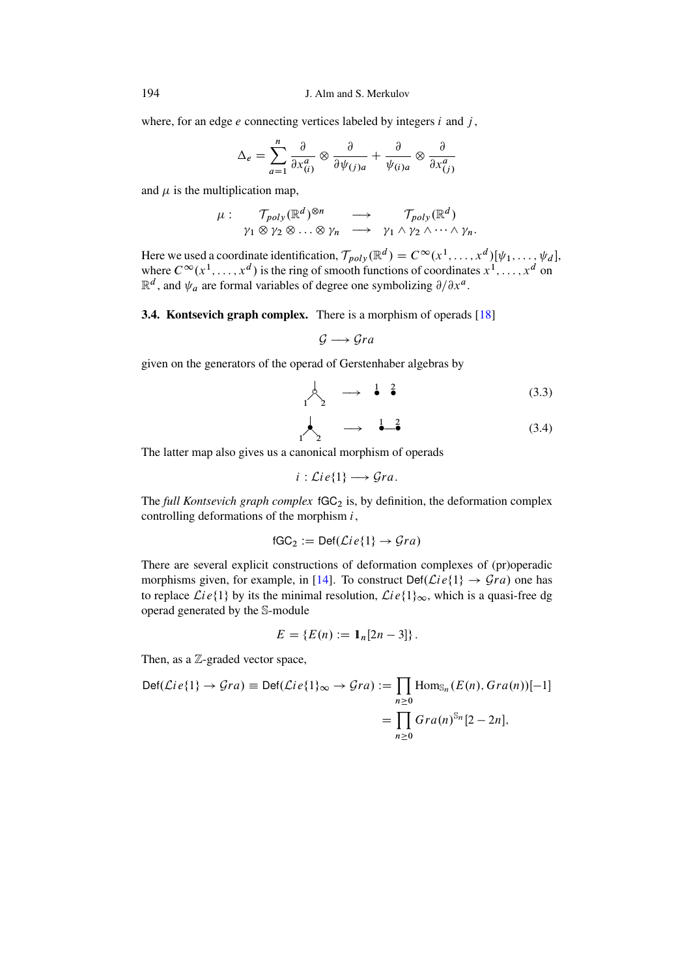where, for an edge  $e$  connecting vertices labeled by integers  $i$  and  $j$ ,

$$
\Delta_e = \sum_{a=1}^n \frac{\partial}{\partial x_{(i)}^a} \otimes \frac{\partial}{\partial \psi_{(j)a}} + \frac{\partial}{\psi_{(i)a}} \otimes \frac{\partial}{\partial x_{(j)}^a}
$$

and  $\mu$  is the multiplication map,

$$
\mu: \quad \mathcal{T}_{poly}(\mathbb{R}^d)^{\otimes n} \quad \longrightarrow \quad \mathcal{T}_{poly}(\mathbb{R}^d)
$$

$$
\gamma_1 \otimes \gamma_2 \otimes \ldots \otimes \gamma_n \quad \longrightarrow \quad \gamma_1 \wedge \gamma_2 \wedge \cdots \wedge \gamma_n.
$$

Here we used a coordinate identification,  $\mathcal{T}_{poly}(\mathbb{R}^d) = C^\infty(x^1, \dots, x^d) [\psi_1, \dots, \psi_d],$ where  $C^{\infty}(x^1, \ldots, x^d)$  is the ring of smooth functions of coordinates  $x^1, \ldots, x^d$  on  $\mathbb{R}^d$ , and  $\psi_a$  are formal variables of degree one symbolizing  $\partial/\partial x^a$ .

**3.4. Kontsevich graph complex.** There is a morphism of operads [\[18\]](#page-29-2)

$$
\mathcal{G} \longrightarrow \mathcal{G}ra
$$

given on the generators of the operad of Gerstenhaber algebras by

$$
\begin{array}{ccc}\n & - & \downarrow & \downarrow \\
1 & & \downarrow & \downarrow\n\end{array} \tag{3.3}
$$

<span id="page-9-0"></span>
$$
\begin{array}{cccc}\n & & & & \\
 & & & & \\
 1 & & & & \\
 & & & & \\
 1 & & & & \\
 \end{array}\n \qquad \qquad \begin{array}{cccc}\n & & & & \\
 & & & & \\
 & & & & \\
 & & & & \\
 & & & & \\
 \end{array}\n \qquad \qquad \qquad \begin{array}{cccc}\n & & & & \\
 & & & & \\
 & & & & \\
 & & & & \\
 & & & & \\
 \end{array}\n \qquad \qquad \qquad \begin{array}{cccc}\n & & & & \\
 & & & & \\
 & & & & \\
 & & & & \\
 & & & & \\
 \end{array}\n \qquad \qquad \qquad \begin{array}{cccc}\n & & & & \\
 & & & & \\
 & & & & \\
 & & & & \\
 & & & & \\
 \end{array}\n \qquad \qquad \qquad \begin{array}{cccc}\n & & & & \\
 & & & & \\
 & & & & \\
 & & & & \\
 \end{array}\n \qquad \qquad \qquad \begin{array}{cccc}\n & & & & \\
 & & & & \\
 & & & & \\
 & & & & \\
 \end{array}\n \qquad \qquad \qquad \begin{array}{cccc}\n & & & & \\
 & & & & \\
 & & & & \\
 & & & & \\
 \end{array}\n \qquad \qquad \qquad \qquad \begin{array}{cccc}\n & & & & \\
 & & & & \\
 & & & & \\
 & & & & \\
 \end{array}\n \qquad \qquad \qquad \qquad \qquad \begin{array}{cccc}\n &
$$

The latter map also gives us a canonical morphism of operads

$$
i:\mathcal{L}ie\{1\}\longrightarrow \mathcal{G}ra.
$$

The *full Kontsevich graph complex*  $fGC_2$  is, by definition, the deformation complex controlling deformations of the morphism  $i$ ,

$$
fGC_2 := Def(\mathcal{L}ie\{1\} \to \mathcal{G}ra)
$$

There are several explicit constructions of deformation complexes of (pr)operadic morphisms given, for example, in [\[14\]](#page-28-11). To construct Def $(\mathcal{L}ie\{1\} \rightarrow \mathcal{G}ra)$  one has to replace  $Lie\{1\}$  by its the minimal resolution,  $Lie\{1\}_{\infty}$ , which is a quasi-free dg operad generated by the S-module

$$
E = \{ E(n) := \mathbf{1}_n [2n - 3] \}.
$$

Then, as a  $\mathbb{Z}$ -graded vector space,

$$
\begin{aligned} \text{Def}(\mathcal{L}ie\{1\} \to \mathcal{G}ra) &\equiv \text{Def}(\mathcal{L}ie\{1\}_{\infty} \to \mathcal{G}ra) := \prod_{n \ge 0} \text{Hom}_{\mathbb{S}_n}(E(n), Gra(n))[-1] \\ &= \prod_{n \ge 0} Gra(n)^{\mathbb{S}_n}[2-2n], \end{aligned}
$$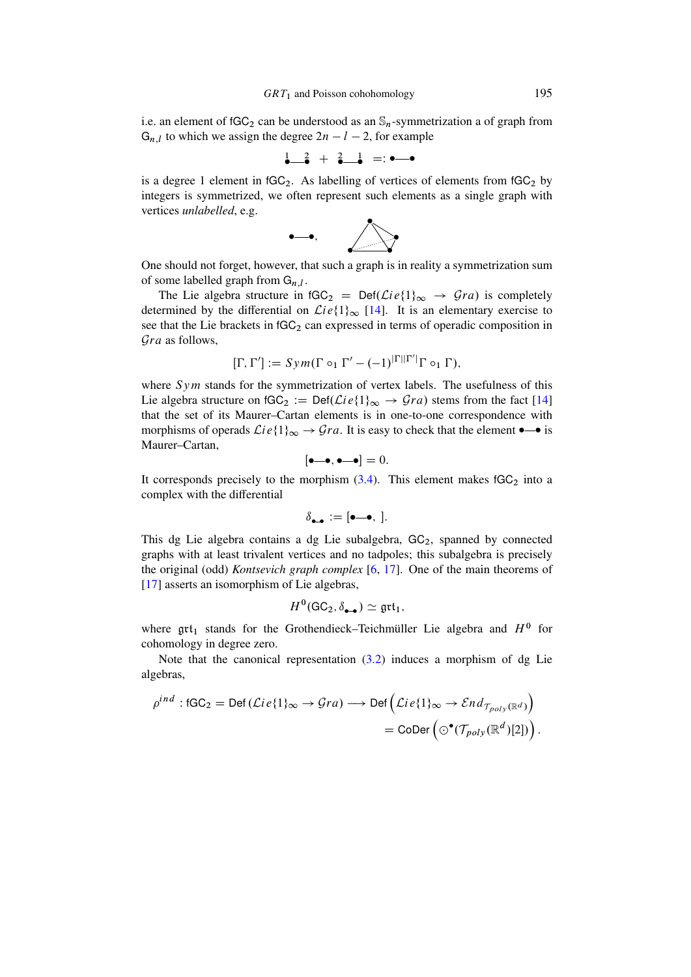i.e. an element of  $fGC_2$  can be understood as an  $\mathcal{S}_n$ -symmetrization a of graph from  $G_{n,l}$  to which we assign the degree  $2n - l - 2$ , for example

$$
\begin{array}{cccc}\n1 & 2 & + & 2 & 1 \\
\bullet & \bullet & \bullet & = & \bullet\n\end{array}
$$

is a degree 1 element in  $fGC_2$ . As labelling of vertices of elements from  $fGC_2$  by integers is symmetrized, we often represent such elements as a single graph with vertices *unlabelled*, e.g.



One should not forget, however, that such a graph is in reality a symmetrization sum of some labelled graph from  $G_{n,l}$ .

The Lie algebra structure in  $fGC_2 = Def(\mathcal{L}ie\{1\}_{\infty} \rightarrow \mathcal{G}ra)$  is completely determined by the differential on  $\mathcal{L}ie\{1\}_{\infty}$  [\[14\]](#page-28-11). It is an elementary exercise to see that the Lie brackets in  $fGC_2$  can expressed in terms of operadic composition in Gra as follows,

$$
[\Gamma, \Gamma'] := Sym(\Gamma \circ_1 \Gamma' - (-1)^{|\Gamma||\Gamma'|} \Gamma \circ_1 \Gamma),
$$

where  $Sym$  stands for the symmetrization of vertex labels. The usefulness of this Lie algebra structure on  $fGC_2 := Def(\mathcal{L}ie\{1\}_{\infty} \rightarrow \mathcal{G}ra)$  stems from the fact [\[14\]](#page-28-11) that the set of its Maurer–Cartan elements is in one-to-one correspondence with morphisms of operads  $Lie\{1\}_{\infty} \rightarrow Gra$ . It is easy to check that the element  $\bullet$  is Maurer–Cartan,

$$
[\bullet-\bullet,\bullet-\bullet]=0.
$$

It corresponds precisely to the morphism  $(3.4)$ . This element makes  $fGC_2$  into a complex with the differential

$$
\delta_{\bullet\bullet} := [\bullet \textcolor{red}{\textbf{-0}}, \;].
$$

This dg Lie algebra contains a dg Lie subalgebra,  $GC<sub>2</sub>$ , spanned by connected graphs with at least trivalent vertices and no tadpoles; this subalgebra is precisely the original (odd) *Kontsevich graph complex* [\[6,](#page-28-10) [17\]](#page-29-1). One of the main theorems of [\[17\]](#page-29-1) asserts an isomorphism of Lie algebras,

$$
H^0(\mathsf{GC}_2, \delta_{\bullet \bullet}) \simeq \mathfrak{grt}_1,
$$

where  $grt_1$  stands for the Grothendieck–Teichmüller Lie algebra and  $H^0$  for cohomology in degree zero.

Note that the canonical representation  $(3.2)$  induces a morphism of dg Lie algebras,

$$
\rho^{ind} : \text{fGC}_2 = \text{Def}(\mathcal{L}ie\{1\}_{\infty} \to \mathcal{G}ra) \longrightarrow \text{Def}\left(\mathcal{L}ie\{1\}_{\infty} \to \mathcal{E}nd_{\mathcal{T}_{poly}(\mathbb{R}^d)}\right)
$$

$$
= \text{CoDer}\left(\odot^{\bullet}(\mathcal{T}_{poly}(\mathbb{R}^d)[2])\right).
$$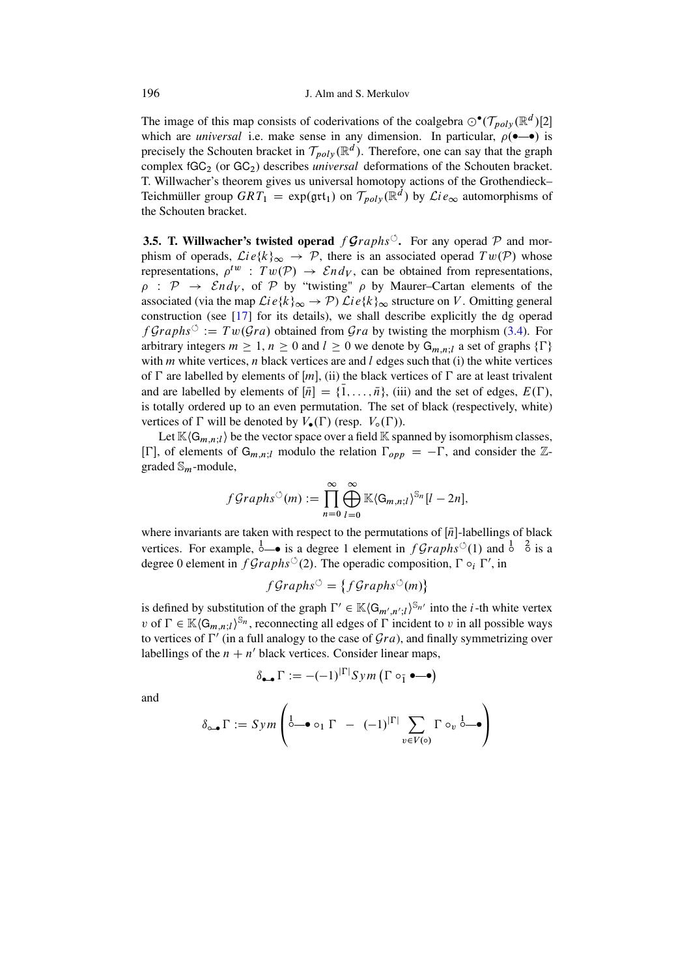The image of this map consists of coderivations of the coalgebra  $\odot^{\bullet}(\mathcal{T}_{poly}(\mathbb{R}^d)[2])$ which are *universal* i.e. make sense in any dimension. In particular,  $\rho(-\bullet)$  is precisely the Schouten bracket in  $\mathcal{T}_{poly}(\mathbb{R}^d)$ . Therefore, one can say that the graph complex fGC<sub>2</sub> (or GC<sub>2</sub>) describes *universal* deformations of the Schouten bracket. T. Willwacher's theorem gives us universal homotopy actions of the Grothendieck– Teichmüller group  $GRT_1 = \exp(\text{gtt}_1)$  on  $\mathcal{T}_{poly}(\mathbb{R}^d)$  by  $\mathcal{L}ie_{\infty}$  automorphisms of the Schouten bracket.

**3.5. T. Willwacher's twisted operad**  $f$  **Graphs<sup>** $\circ$ **</sup>.** For any operad P and morphism of operads,  $Lie{k_{\infty} \rightarrow P}$ , there is an associated operad  $Tw(P)$  whose representations,  $\rho^{tw}$  :  $Tw(\mathcal{P}) \rightarrow End_V$ , can be obtained from representations,  $\rho$  :  $\mathcal{P} \rightarrow \mathcal{E}nd_V$ , of  $\mathcal{P}$  by "twisting"  $\rho$  by Maurer–Cartan elements of the associated (via the map  $\mathcal{L}ie\{k\}_{\infty} \to \mathcal{P}$ )  $\mathcal{L}ie\{k\}_{\infty}$  structure on V. Omitting general construction (see [\[17\]](#page-29-1) for its details), we shall describe explicitly the dg operad  $fGraphs^{\circlearrowleft} := Tw(\mathcal{G}ra)$  obtained from  $\mathcal{G}ra$  by twisting the morphism [\(3.4\)](#page-9-0). For arbitrary integers  $m \ge 1$ ,  $n \ge 0$  and  $l \ge 0$  we denote by  $G_{m,n;l}$  a set of graphs  $\{\Gamma\}$ with  $m$  white vertices,  $n$  black vertices are and  $l$  edges such that (i) the white vertices of  $\Gamma$  are labelled by elements of  $[m]$ , (ii) the black vertices of  $\Gamma$  are at least trivalent and are labelled by elements of  $[\bar{n}] = {\bar{1}, \dots, \bar{n}}$ , (iii) and the set of edges,  $E(\Gamma)$ , is totally ordered up to an even permutation. The set of black (respectively, white) vertices of  $\Gamma$  will be denoted by  $V_{\bullet}(\Gamma)$  (resp.  $V_{\circ}(\Gamma)$ ).

Let  $\mathbb{K}\langle G_{m,n;l}\rangle$  be the vector space over a field  $\mathbb{K}$  spanned by isomorphism classes,  $[\Gamma]$ , of elements of  $G_{m,n;l}$  modulo the relation  $\Gamma_{opp} = -\Gamma$ , and consider the Zgraded  $\mathbb{S}_m$ -module,

$$
fGraphs^{\circlearrowleft}(m) := \prod_{n=0}^{\infty} \bigoplus_{l=0}^{\infty} \mathbb{K} \langle G_{m,n;l} \rangle^{\mathbb{S}_n}[l-2n],
$$

where invariants are taken with respect to the permutations of  $[\bar{n}]$ -labellings of black vertices. For example,  $\stackrel{1}{\circ}$  is a degree 1 element in  $fGraphs^{\circ}(1)$  and  $\stackrel{1}{\circ}$   $\stackrel{2}{\circ}$  is a degree 0 element in  $fGraphs^{\circlearrowleft}(2)$ . The operadic composition,  $\Gamma \circ_i \Gamma'$ , in

$$
fGraphs^{\circlearrowleft} = \{fGraphs^{\circlearrowleft}(m)\}\
$$

is defined by substitution of the graph  $\Gamma' \in \mathbb{K} \langle G_{m',n';l} \rangle^{\mathbb{S}_{n'}}$  into the *i*-th white vertex v of  $\Gamma \in \mathbb{K} \langle G_{m,n;l} \rangle^{\mathbb{S}_n}$ , reconnecting all edges of  $\Gamma$  incident to v in all possible ways to vertices of  $\Gamma'$  (in a full analogy to the case of  $\mathcal{G}ra$ ), and finally symmetrizing over labellings of the  $n + n'$  black vertices. Consider linear maps,

$$
\delta_{\bullet \bullet} \Gamma := -(-1)^{|\Gamma|} \text{Sym} \left( \Gamma \circ_{\bar{1}} \bullet \text{---} \bullet \right)
$$

and

$$
\delta_{\circ \bullet} \Gamma := Sym \left( \begin{matrix} 1 & -1 \\ 0 & 0 \end{matrix} \right) \Gamma - (-1)^{|\Gamma|} \sum_{v \in V(\circ)} \Gamma \circ_v \stackrel{1}{\circ \bullet} \bullet
$$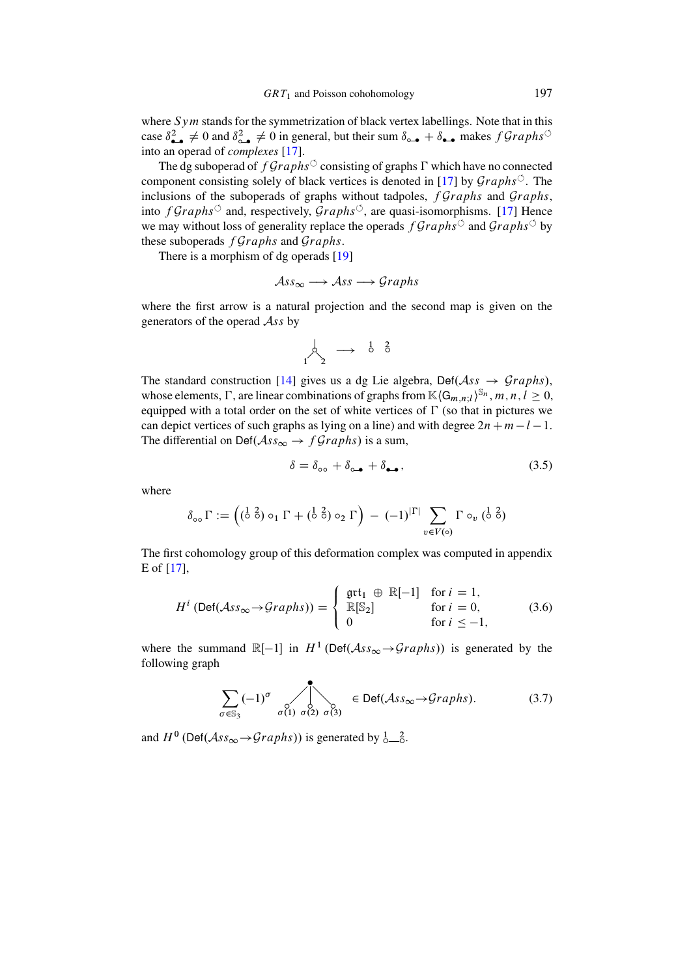where  $Sym$  stands for the symmetrization of black vertex labellings. Note that in this case  $\delta^2_{\bullet\bullet}\neq 0$  and  $\delta^2_{\circ\bullet}\neq 0$  in general, but their sum  $\delta_{\circ\bullet}+\delta_{\bullet\bullet}$  makes  $fGraphs^{\circ\circ}$ into an operad of *complexes* [\[17\]](#page-29-1).

The dg suboperad of  $fGraphs^{\circ}$  consisting of graphs  $\Gamma$  which have no connected component consisting solely of black vertices is denoted in [\[17\]](#page-29-1) by  $Graphs^{\circ}$ . The inclusions of the suboperads of graphs without tadpoles,  $fGraphs$  and  $Graphs$ , into  $fGraphs^{\circ}$  and, respectively,  $Graphs^{\circ}$ , are quasi-isomorphisms. [\[17\]](#page-29-1) Hence we may without loss of generality replace the operads  $fGraphs^{\circ}$  and  $Graphs^{\circ}$  by these suboperads  $fGraphs$  and  $Graphs$ .

There is a morphism of dg operads [\[19\]](#page-29-3)

$$
Ass_{\infty} \longrightarrow Ass \longrightarrow Graphs
$$

where the first arrow is a natural projection and the second map is given on the generators of the operad  $\mathcal{A}$ ss by

$$
\bigwedge_1^1 \begin{array}{c} \downarrow \\ \searrow \end{array} \rightarrow \begin{array}{cc} \frac{1}{6} & \frac{2}{6} \\ \end{array}
$$

The standard construction [\[14\]](#page-28-11) gives us a dg Lie algebra, Def( $\mathcal{A}ss \rightarrow \mathcal{Graphs}$ ), whose elements,  $\Gamma$ , are linear combinations of graphs from  $\mathbb{K}\langle G_{m,n;l}\rangle^{\mathbb{S}_n}$ ,  $m, n, l \geq 0$ , equipped with a total order on the set of white vertices of  $\Gamma$  (so that in pictures we can depict vertices of such graphs as lying on a line) and with degree  $2n+m-l-1$ . The differential on Def $(\mathcal{A}ss_{\infty} \rightarrow fGraphs)$  is a sum,

<span id="page-12-1"></span>
$$
\delta = \delta_{\circ} + \delta_{\circ} + \delta_{\bullet} \tag{3.5}
$$

where

$$
\delta_{\circ \circ} \Gamma := \left( \begin{pmatrix} 1 & 2 \\ 0 & 0 \end{pmatrix} \circ_1 \Gamma + \begin{pmatrix} 1 & 2 \\ 0 & 0 \end{pmatrix} \circ_2 \Gamma \right) - (-1)^{|\Gamma|} \sum_{v \in V(\circ)} \Gamma \circ_v (\begin{pmatrix} 1 & 2 \\ 0 & 0 \end{pmatrix}
$$

The first cohomology group of this deformation complex was computed in appendix E of [\[17\]](#page-29-1),

$$
H^{i} \left( \text{Def}(\mathcal{A}ss_{\infty} \to Graphs) \right) = \begin{cases} \text{gtt}_{1} \oplus \mathbb{R}[-1] & \text{for } i = 1, \\ \mathbb{R}[\mathbb{S}_{2}] & \text{for } i = 0, \\ 0 & \text{for } i \leq -1, \end{cases}
$$
 (3.6)

where the summand  $\mathbb{R}[-1]$  in  $H^1(\text{Def}(\mathcal{A}ss_{\infty} \to Graphs))$  is generated by the following graph

<span id="page-12-0"></span>
$$
\sum_{\sigma \in \mathbb{S}_3} (-1)^{\sigma} \sum_{\sigma(1) \ \sigma(2) \ \sigma(3)} \in \text{Def}(\mathcal{A}_{ss_{\infty}} \to \text{Graphs}). \tag{3.7}
$$

and  $H^0$  (Def( $\mathcal{A}ss_{\infty} \rightarrow Graphs$ )) is generated by  $\frac{1}{2}$ .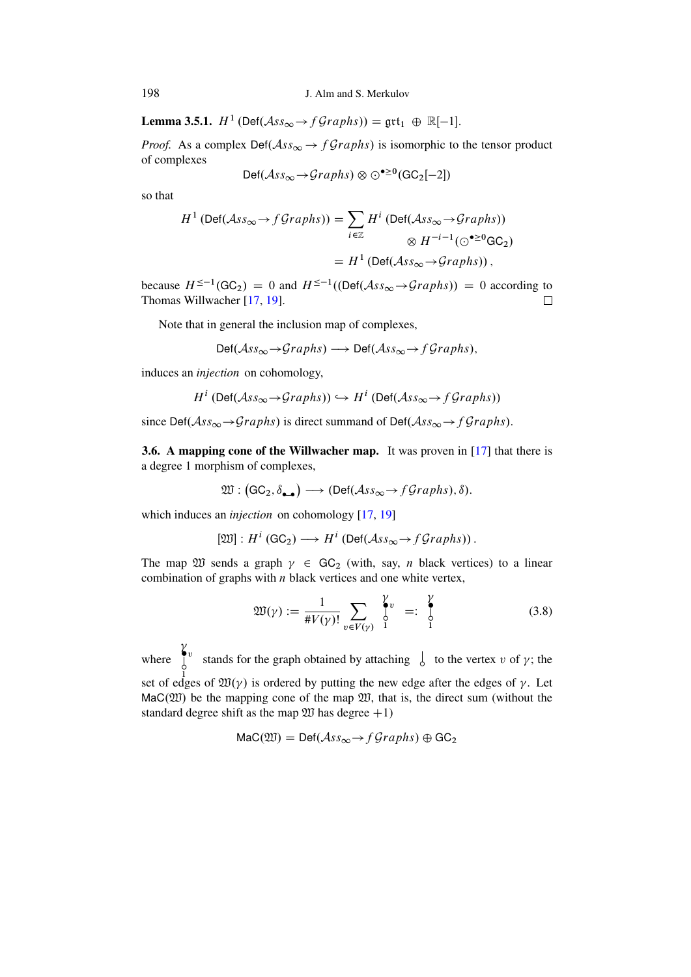**Lemma 3.5.1.**  $H^1$  (Def( $\mathcal{A}ss_{\infty} \to f\mathcal{G}raphs$ )) =  $\mathfrak{grt}_1 \oplus \mathbb{R}[-1]$ .

*Proof.* As a complex  $Def(Ass_{\infty} \rightarrow fGraphs)$  is isomorphic to the tensor product of complexes

$$
\mathsf{Def}(\mathcal{A} \mathit{ss}_{\infty} \rightarrow \mathcal{G} \mathit{raphs}) \otimes \odot^{\bullet \geq 0}(\mathsf{GC}_2[-2])
$$

so that

$$
H^{1} \left( \text{Def}(\mathcal{A}ss_{\infty} \to f\mathcal{G}raphs) \right) = \sum_{i \in \mathbb{Z}} H^{i} \left( \text{Def}(\mathcal{A}ss_{\infty} \to \mathcal{G}raphs) \right)
$$

$$
\otimes H^{-i-1}(\odot^{\bullet \geq 0} \text{GC}_{2})
$$

$$
= H^{1} \left( \text{Def}(\mathcal{A}ss_{\infty} \to \mathcal{G}raphs) \right),
$$

because  $H^{\leq -1}(\mathsf{GC}_2) = 0$  and  $H^{\leq -1}((\mathsf{Def}(\mathcal{A}ss_{\infty} \to \mathcal{G}raphs)) = 0$  according to Thomas Willwacher [\[17,](#page-29-1) [19\]](#page-29-3).  $\Box$ 

Note that in general the inclusion map of complexes,

$$
\text{Def}(\mathcal{A}ss_{\infty} \to \mathcal{G}raphs) \longrightarrow \text{Def}(\mathcal{A}ss_{\infty} \to f\mathcal{G}raphs),
$$

induces an *injection* on cohomology,

$$
H^i \left( \text{Def}(\mathcal{A} \mathit{ss}_\infty \to \mathcal{G} \mathit{raphs}) \right) \hookrightarrow H^i \left( \text{Def}(\mathcal{A} \mathit{ss}_\infty \to \mathit{f} \mathcal{G} \mathit{raphs}) \right)
$$

since Def $(Ass_{\infty} \rightarrow Graphs)$  is direct summand of Def $(Ass_{\infty} \rightarrow fGraphs)$ .

**3.6.** A mapping cone of the Willwacher map. It was proven in  $\left[17\right]$  that there is a degree 1 morphism of complexes,

$$
\mathfrak{W}: (\mathsf{GC}_2, \delta_{\bullet \bullet}) \longrightarrow (\mathsf{Def}(\mathcal{A}\mathit{ss}_{\infty} \rightarrow f\mathit{Graphs}), \delta).
$$

which induces an *injection* on cohomology [\[17,](#page-29-1) [19\]](#page-29-3)

$$
[\mathfrak{W}]: H^i(\mathsf{GC}_2) \longrightarrow H^i(\mathsf{Def}(\mathcal{A}\mathit{ss}_{\infty} \rightarrow f\mathit{Graphs})).
$$

The map  $\mathfrak W$  sends a graph  $\gamma \in \text{GC}_2$  (with, say, *n* black vertices) to a linear combination of graphs with  $n$  black vertices and one white vertex,

$$
\mathfrak{W}(\gamma) := \frac{1}{\# V(\gamma)!} \sum_{v \in V(\gamma)} \int_{1}^{\gamma} v =: \int_{1}^{\gamma} (3.8)
$$

where set of edges of  $\mathfrak{W}(\gamma)$  is ordered by putting the new edge after the edges of  $\gamma$ . Let  $\int_0^{\gamma}$ y<br> stands for the graph obtained by attaching  $\int$  to the vertex v of  $\gamma$ ; the  $Mac(\mathfrak{W})$  be the mapping cone of the map  $\mathfrak{W}$ , that is, the direct sum (without the standard degree shift as the map  $\mathfrak W$  has degree  $+1$ )

$$
Mac(\mathfrak{W}) = Def(\mathcal{A}ss_{\infty} \to fGraphs) \oplus GC_2
$$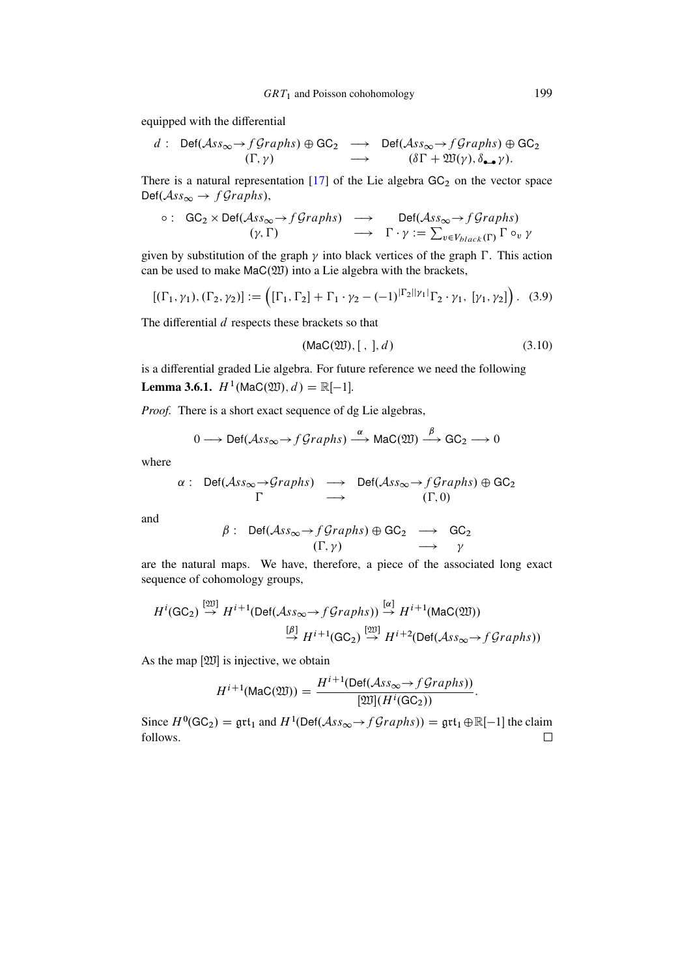equipped with the differential

$$
d: \text{ Def}(\mathcal{A}ss_{\infty} \to f\mathcal{G}raphs) \oplus \text{GC}_2 \longrightarrow \text{Def}(\mathcal{A}ss_{\infty} \to f\mathcal{G}raphs) \oplus \text{GC}_2
$$
  

$$
(\Gamma, \gamma) \longrightarrow (\delta\Gamma + \mathfrak{W}(\gamma), \delta_{\bullet\bullet}\gamma).
$$

There is a natural representation  $[17]$  of the Lie algebra  $GC<sub>2</sub>$  on the vector space  $\text{Def}(\mathcal{A}ss_{\infty} \to f\mathcal{G}raphs),$ 

$$
\circ : \text{ GC}_2 \times \text{Def}(\mathcal{A}ss_{\infty} \to f\mathcal{G}raphs) \longrightarrow \text{Def}(\mathcal{A}ss_{\infty} \to f\mathcal{G}raphs) (\gamma, \Gamma) \longrightarrow \Gamma \cdot \gamma := \sum_{v \in V_{black}(\Gamma)} \Gamma \circ_v \gamma
$$

given by substitution of the graph  $\gamma$  into black vertices of the graph  $\Gamma$ . This action can be used to make  $\text{Mac}(\mathfrak{W})$  into a Lie algebra with the brackets,

<span id="page-14-0"></span>
$$
[(\Gamma_1, \gamma_1), (\Gamma_2, \gamma_2)] := ([\Gamma_1, \Gamma_2] + \Gamma_1 \cdot \gamma_2 - (-1)^{|\Gamma_2||\gamma_1|} \Gamma_2 \cdot \gamma_1, [\gamma_1, \gamma_2]). \tag{3.9}
$$

The differential  $d$  respects these brackets so that

$$
(\text{Mac}(\mathfrak{W}), [ , ], d) \tag{3.10}
$$

:

<span id="page-14-1"></span>is a differential graded Lie algebra. For future reference we need the following **Lemma 3.6.1.**  $H^1(\text{Mac}(\mathfrak{W}), d) = \mathbb{R}[-1]$ .

*Proof.* There is a short exact sequence of dg Lie algebras,

$$
0 \longrightarrow \text{Def}(\mathcal{A}ss_{\infty} \to f\mathcal{G}raphs) \stackrel{\alpha}{\longrightarrow} \text{Mac}(\mathfrak{W}) \stackrel{\beta}{\longrightarrow} \text{GC}_2 \longrightarrow 0
$$

where

$$
\alpha: \quad \text{Def}(\mathcal{A}ss_{\infty} \to \mathcal{G}raphs) \quad \longrightarrow \quad \text{Def}(\mathcal{A}ss_{\infty} \to \mathcal{f}Graphs) \oplus \text{GC}_2
$$
\n
$$
\Gamma \qquad \longrightarrow \qquad (\Gamma, 0)
$$

and

$$
\beta: \text{ Def}(\mathcal{A}ss_{\infty} \to fGraphs) \oplus \text{GC}_2 \longrightarrow \text{GC}_2
$$
  

$$
(\Gamma, \gamma) \longrightarrow \gamma
$$

are the natural maps. We have, therefore, a piece of the associated long exact sequence of cohomology groups,

$$
H^{i}(\text{GC}_2) \stackrel{[20]}{\rightarrow} H^{i+1}(\text{Def}(\mathcal{A}ss_{\infty} \rightarrow f\mathcal{G}raphs)) \stackrel{[\alpha]}{\rightarrow} H^{i+1}(\text{Mac}(20))
$$

$$
\stackrel{[\beta]}{\rightarrow} H^{i+1}(\text{GC}_2) \stackrel{[20]}{\rightarrow} H^{i+2}(\text{Def}(\mathcal{A}ss_{\infty} \rightarrow f\mathcal{G}raphs))
$$

As the map  $[\mathfrak{W}]$  is injective, we obtain

$$
H^{i+1}(\text{Mac}(\mathfrak{W})) = \frac{H^{i+1}(\text{Def}(\mathcal{A}ss_{\infty} \to fGraphs))}{[\mathfrak{W}](H^i(\text{GC}_2))}
$$

Since  $H^0(\text{GC}_2) = \text{grt}_1$  and  $H^1(\text{Def}(\mathcal{A}ss_{\infty} \to f\mathcal{G}raphs)) = \text{grt}_1 \oplus \mathbb{R}[-1]$  the claim follows. $\Box$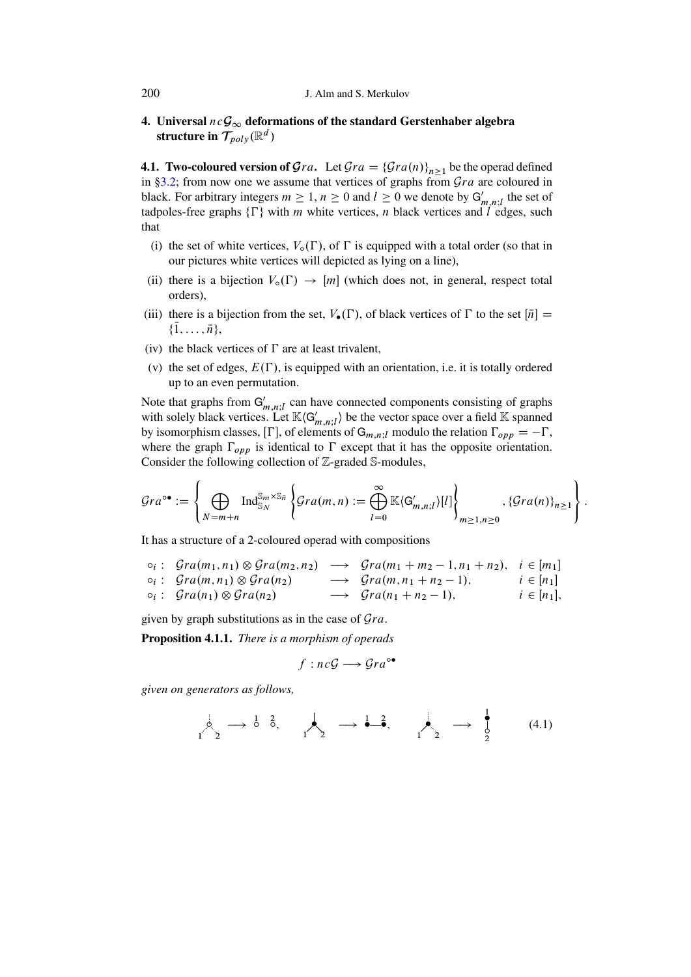# 4. Universal  $ncG_{\infty}$  deformations of the standard Gerstenhaber algebra structure in  $\mathcal{T}_{poly}(\mathbb{R}^d)$

**4.1. Two-coloured version of**  $\mathcal{G}ra$ **.** Let  $\mathcal{G}ra = {\mathcal{G}ra(n)}_{n\geq1}$  be the operad defined in [§3.2;](#page-8-2) from now one we assume that vertices of graphs from  $Gra$  are coloured in black. For arbitrary integers  $m \geq 1$ ,  $n \geq 0$  and  $l \geq 0$  we denote by  $G'_{m,n;l}$  the set of tadpoles-free graphs  $\{\Gamma\}$  with m white vertices, n black vertices and l edges, such that

- (i) the set of white vertices,  $V_o(\Gamma)$ , of  $\Gamma$  is equipped with a total order (so that in our pictures white vertices will depicted as lying on a line),
- (ii) there is a bijection  $V_o(\Gamma) \rightarrow [m]$  (which does not, in general, respect total orders),
- (iii) there is a bijection from the set,  $V_{\bullet}(\Gamma)$ , of black vertices of  $\Gamma$  to the set  $[\bar{n}] =$  $\{1, \ldots, \bar{n}\},\$
- (iv) the black vertices of  $\Gamma$  are at least trivalent,
- (v) the set of edges,  $E(\Gamma)$ , is equipped with an orientation, i.e. it is totally ordered up to an even permutation.

Note that graphs from  $G'_{m,n;l}$  can have connected components consisting of graphs with solely black vertices. Let  $\mathbb{K}\langle G'_{m,n;l}\rangle$  be the vector space over a field  $\mathbb K$  spanned by isomorphism classes,  $[\Gamma]$ , of elements of  $G_{m,n;l}$  modulo the relation  $\Gamma_{opp} = -\Gamma$ , where the graph  $\Gamma_{opp}$  is identical to  $\Gamma$  except that it has the opposite orientation. Consider the following collection of Z-graded S-modules,

$$
\mathcal{G}ra^{\circ\bullet} := \left\{\bigoplus_{N=m+n} \operatorname{Ind}_{\mathbb{S}_N}^{\mathbb{S}_m \times \mathbb{S}_{\bar{n}}} \left\{\mathcal{G}ra(m,n) := \bigoplus_{l=0}^{\infty} \mathbb{K}\langle G'_{m,n;l}\rangle[l] \right\}_{m \geq 1, n \geq 0}, \{\mathcal{G}ra(n)\}_{n \geq 1} \right\}.
$$

It has a structure of a 2-coloured operad with compositions

$$
\begin{array}{rcl}\n\circ_i: & \mathcal{G}ra(m_1, n_1) \otimes \mathcal{G}ra(m_2, n_2) \longrightarrow & \mathcal{G}ra(m_1 + m_2 - 1, n_1 + n_2), \quad i \in [m_1] \\
\circ_i: & \mathcal{G}ra(m, n_1) \otimes \mathcal{G}ra(n_2) \longrightarrow & \mathcal{G}ra(m, n_1 + n_2 - 1), \quad i \in [n_1] \\
\circ_i: & \mathcal{G}ra(n_1) \otimes \mathcal{G}ra(n_2) \longrightarrow & \mathcal{G}ra(n_1 + n_2 - 1), \quad i \in [n_1],\n\end{array}
$$

given by graph substitutions as in the case of  $\mathcal{G}ra$ .

Proposition 4.1.1. *There is a morphism of operads*

$$
f : nc\mathcal{G} \longrightarrow \mathcal{G}ra^{\circ\bullet}
$$

*given on generators as follows,*

$$
\downarrow_2 \qquad \qquad \downarrow_2 \qquad \longrightarrow \qquad \frac{1}{6}, \qquad \qquad \downarrow_2 \qquad \longrightarrow \qquad \frac{1}{6}, \qquad \qquad \downarrow_2 \qquad \longrightarrow \qquad \frac{1}{2} \qquad \qquad (4.1)
$$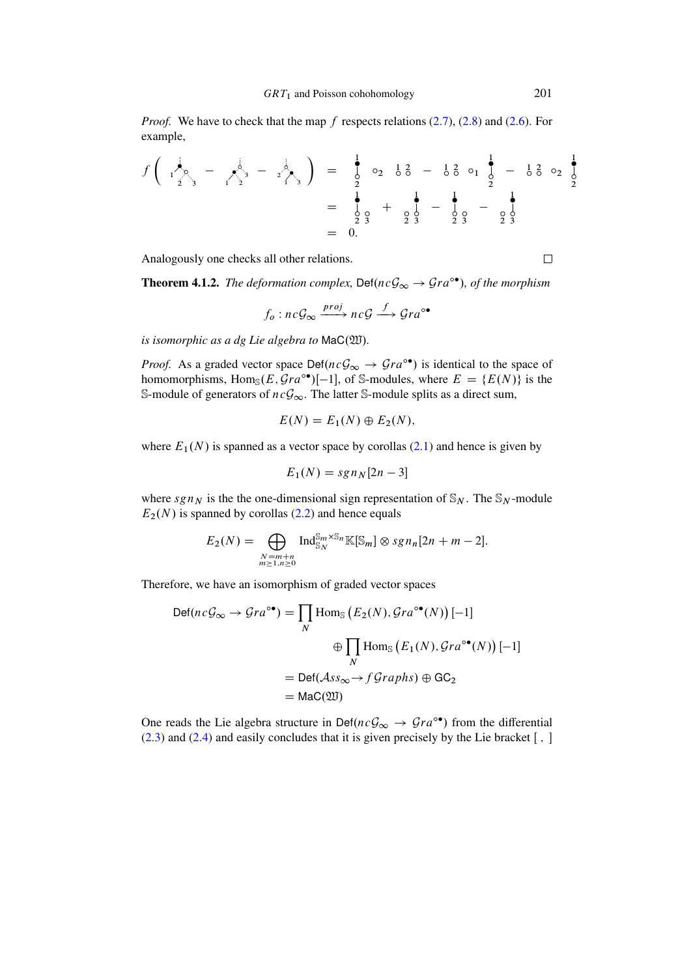*Proof.* We have to check that the map f respects relations  $(2.7)$ ,  $(2.8)$  and  $(2.6)$ . For example,

$$
f\left(\begin{array}{ccc} \frac{1}{2} & - & \frac{1}{2} \\ \frac{1}{2} & \frac{1}{3} & - & \frac{1}{2} \\ \frac{1}{2} & \frac{1}{2} & \frac{1}{2} \end{array}\right) = \begin{array}{ccc} \frac{1}{2} & \circ_2 & \frac{1}{2} & - & \frac{1}{2} \\ \frac{1}{2} & \circ_2 & \frac{1}{2} & - & \frac{1}{2} \\ \frac{1}{2} & \frac{1}{2} & \frac{1}{2} & - & \frac{1}{2} \\ \frac{1}{2} & \frac{1}{2} & \frac{1}{2} & - & \frac{1}{2} \\ \frac{1}{2} & \frac{1}{2} & \frac{1}{2} & - & \frac{1}{2} \\ \frac{1}{2} & \frac{1}{2} & \frac{1}{2} & \frac{1}{2} \end{array}
$$

Analogously one checks all other relations.

**Theorem 4.1.2.** *The deformation complex,*  $\text{Def}(ncG_{\infty} \rightarrow Gra^{\circ\bullet})$ *, of the morphism* 

$$
f_o: nc \mathcal{G}_{\infty} \xrightarrow{proj} nc \mathcal{G} \xrightarrow{f} \mathcal{G} ra^{\circ \bullet}
$$

*is isomorphic as a dg Lie algebra to* MaC( $20$ ).

*Proof.* As a graded vector space  $Def(n c \mathcal{G}_{\infty} \to \mathcal{G} r a^{\circ \bullet})$  is identical to the space of homomorphisms, Hom<sub>S</sub> $(E, \mathcal{G}ra^{\circ\bullet})[-1]$ , of S-modules, where  $E = \{E(N)\}\$ is the S-module of generators of  $ncG_{\infty}$ . The latter S-module splits as a direct sum,

$$
E(N) = E_1(N) \oplus E_2(N),
$$

where  $E_1(N)$  is spanned as a vector space by corollas [\(2.1\)](#page-3-0) and hence is given by

$$
E_1(N) = sgn_N[2n-3]
$$

where  $sgn_N$  is the the one-dimensional sign representation of  $\mathcal{S}_N$ . The  $\mathcal{S}_N$ -module  $E_2(N)$  is spanned by corollas [\(2.2\)](#page-4-0) and hence equals

$$
E_2(N) = \bigoplus_{\substack{N=m+n\\m\geq 1,n\geq 0}} \operatorname{Ind}_{\mathbb{S}_N}^{\mathbb{S}_m \times \mathbb{S}_n} \mathbb{K}[\mathbb{S}_m] \otimes \operatorname{sgn}_n[2n+m-2].
$$

Therefore, we have an isomorphism of graded vector spaces

$$
Def(n c \mathcal{G}_{\infty} \to \mathcal{G}ra^{\circ \bullet}) = \prod_{N} \text{Hom}_{\mathbb{S}} (E_2(N), \mathcal{G}ra^{\circ \bullet}(N)) [-1]
$$
  
\n
$$
\oplus \prod_{N} \text{Hom}_{\mathbb{S}} (E_1(N), \mathcal{G}ra^{\circ \bullet}(N)) [-1]
$$
  
\n
$$
= \text{Def}(\mathcal{A}ss_{\infty} \to f\mathcal{G}raphs) \oplus \text{GC}_2
$$
  
\n
$$
= \text{Mac}(\mathfrak{W})
$$

One reads the Lie algebra structure in Def $(nc\mathcal{G}_{\infty} \rightarrow \mathcal{G}ra^{\circ\bullet})$  from the differential  $(2.3)$  and  $(2.4)$  and easily concludes that it is given precisely by the Lie bracket  $[ , ]$ 

 $\Box$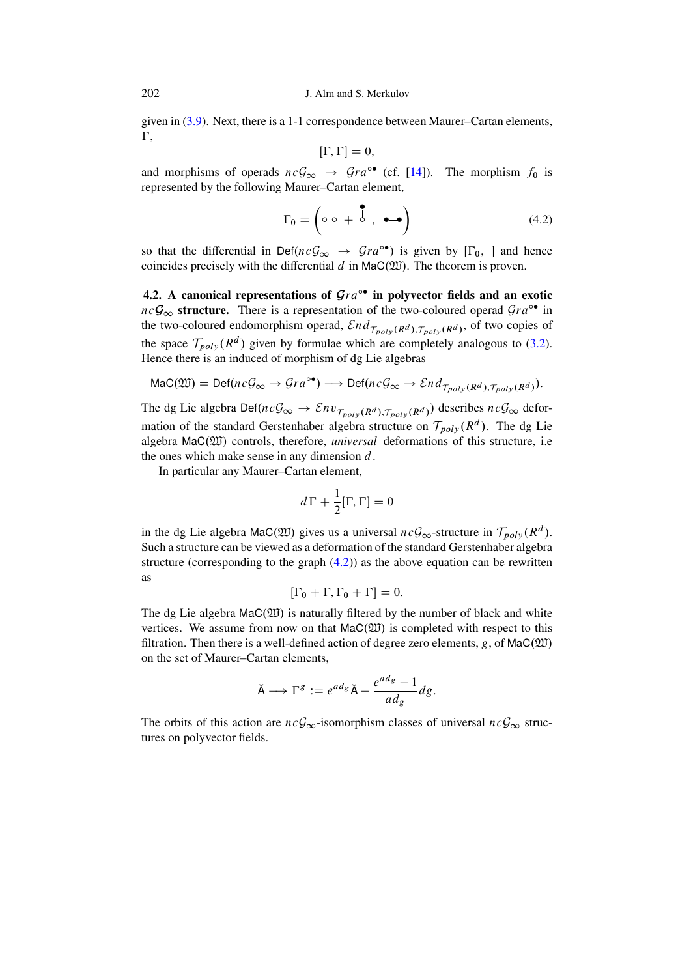given in [\(3.9\)](#page-14-0). Next, there is a 1-1 correspondence between Maurer–Cartan elements,  $\Gamma$ ,

$$
[\Gamma,\Gamma]=0,
$$

and morphisms of operads  $nc\mathcal{G}_{\infty} \rightarrow \mathcal{G}ra^{\circ\bullet}$  (cf. [\[14\]](#page-28-11)). The morphism  $f_0$  is represented by the following Maurer–Cartan element,

<span id="page-17-0"></span>
$$
\Gamma_0 = \left( \circ \circ + \stackrel{\bullet}{\circ} , \bullet - \bullet \right) \tag{4.2}
$$

so that the differential in Def $(nc\mathcal{G}_{\infty} \rightarrow \mathcal{G}ra^{\circ\bullet})$  is given by  $[\Gamma_0, ]$  and hence coincides precisely with the differential  $d$  in  $\text{Mac}(\mathfrak{W})$ . The theorem is proven.  $\Box$ 

4.2. A canonical representations of  $Gra^{\circ\bullet}$  in polyvector fields and an exotic  $nc\mathcal{G}_{\infty}$  structure. There is a representation of the two-coloured operad  $Gra^{\circ\bullet}$  in the two-coloured endomorphism operad,  $\mathcal{E} nd_{\mathcal{T}_{poly}(R^d), \mathcal{T}_{poly}(R^d)}$ , of two copies of the space  $\mathcal{T}_{poly}(R^d)$  given by formulae which are completely analogous to [\(3.2\)](#page-8-1). Hence there is an induced of morphism of dg Lie algebras

$$
\text{Mac}(\mathfrak{W}) = \text{Def}(nc\mathcal{G}_{\infty} \to \mathcal{G}ra^{\circ\bullet}) \longrightarrow \text{Def}(nc\mathcal{G}_{\infty} \to \mathcal{E}nd_{\mathcal{T}_{poly}(R^d), \mathcal{T}_{poly}(R^d)}).
$$

The dg Lie algebra Def $(nc\mathcal{G}_{\infty} \to \mathcal{E}nv_{\mathcal{T}_{poly}(R^d), \mathcal{T}_{poly}(R^d)})$  describes  $nc\mathcal{G}_{\infty}$  deformation of the standard Gerstenhaber algebra structure on  $\mathcal{T}_{poly}(R^d)$ . The dg Lie algebra MaC $(20)$  controls, therefore, *universal* deformations of this structure, i.e. the ones which make sense in any dimension  $d$ .

In particular any Maurer–Cartan element,

$$
d\,\Gamma + \frac{1}{2} [\Gamma, \Gamma] = 0
$$

in the dg Lie algebra MaC(200) gives us a universal  $ncG_{\infty}$ -structure in  $\mathcal{T}_{poly}(R^d)$ . Such a structure can be viewed as a deformation of the standard Gerstenhaber algebra structure (corresponding to the graph  $(4.2)$ ) as the above equation can be rewritten as

$$
[\Gamma_0 + \Gamma, \Gamma_0 + \Gamma] = 0.
$$

The dg Lie algebra  $\text{Mac}(\mathfrak{W})$  is naturally filtered by the number of black and white vertices. We assume from now on that  $\text{Mac}(\mathfrak{W})$  is completed with respect to this filtration. Then there is a well-defined action of degree zero elements, g, of  $\text{Mac}(\mathfrak{W})$ on the set of Maurer–Cartan elements,

$$
\breve{\mathsf{A}} \longrightarrow \Gamma^g := e^{ad_g} \breve{\mathsf{A}} - \frac{e^{ad_g} - 1}{ad_g} dg.
$$

The orbits of this action are  $ncG_{\infty}$ -isomorphism classes of universal  $ncG_{\infty}$  structures on polyvector fields.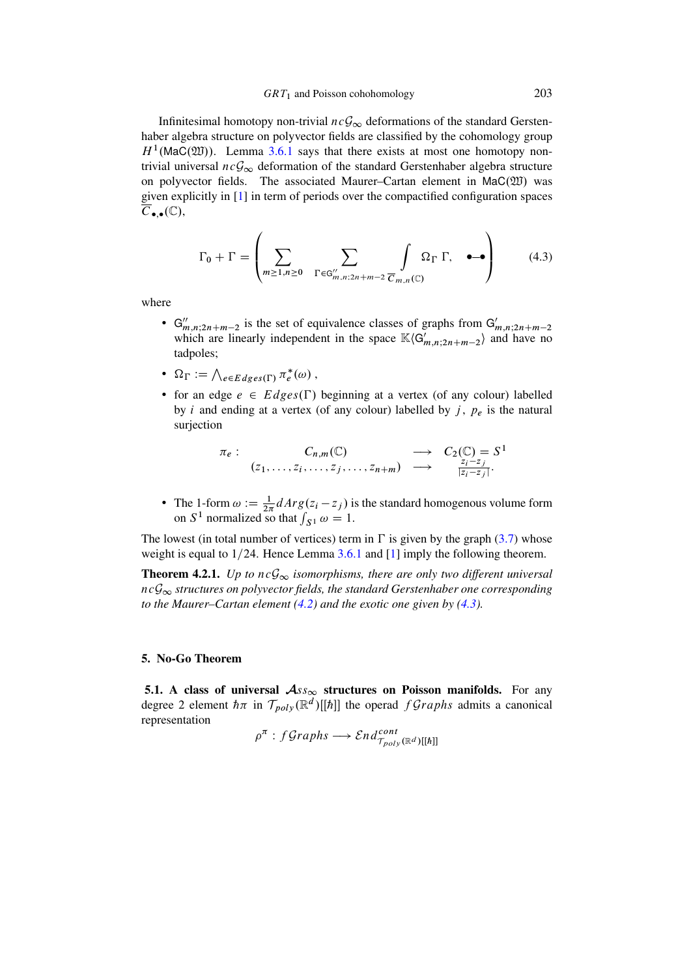Infinitesimal homotopy non-trivial  $ncG_{\infty}$  deformations of the standard Gerstenhaber algebra structure on polyvector fields are classified by the cohomology group  $H<sup>1</sup>$ (MaC(20)). Lemma [3.6.1](#page-14-1) says that there exists at most one homotopy nontrivial universal  $ncG_{\infty}$  deformation of the standard Gerstenhaber algebra structure on polyvector fields. The associated Maurer–Cartan element in  $\text{Mac}(\mathfrak{W})$  was given explicitly in [\[1\]](#page-28-3) in term of periods over the compactified configuration spaces  $\overline{C}_{\bullet,\bullet}(\mathbb{C}),$ 

<span id="page-18-0"></span>
$$
\Gamma_0 + \Gamma = \left( \sum_{m \ge 1, n \ge 0} \sum_{\Gamma \in G''_{m,n;2n+m-2}} \int_{\overline{C}_{m,n}(\mathbb{C})} \Omega_{\Gamma} \Gamma, \quad \bullet \to \right) \tag{4.3}
$$

where

- $G''_{m,n;2n+m-2}$  is the set of equivalence classes of graphs from  $G'_{m,n;2n+m-2}$  which are linearly independent in the space  $\mathbb{K}\langle G'_{m,n;2n+m-2}\rangle$  and have no tadpoles;
- $\Omega_{\Gamma} := \bigwedge_{e \in Edges(\Gamma)} \pi_e^*$  $e^*(\omega)$ ,
- for an edge  $e \in Edges(\Gamma)$  beginning at a vertex (of any colour) labelled by *i* and ending at a vertex (of any colour) labelled by  $j$ ,  $p_e$  is the natural surjection

$$
\pi_e: \qquad C_{n,m}(\mathbb{C}) \qquad \longrightarrow \qquad C_2(\mathbb{C}) = S^1
$$
\n
$$
(z_1, \ldots, z_i, \ldots, z_j, \ldots, z_{n+m}) \qquad \longrightarrow \qquad \frac{z_i - z_j}{|z_i - z_j|}.
$$

• The 1-form  $\omega := \frac{1}{2\pi} dArg(z_i - z_j)$  is the standard homogenous volume form on  $S^1$  normalized so that  $\int_{S^1} \omega = 1$ .

The lowest (in total number of vertices) term in  $\Gamma$  is given by the graph [\(3.7\)](#page-12-0) whose weight is equal to  $1/24$ . Hence Lemma [3.6.1](#page-14-1) and [\[1\]](#page-28-3) imply the following theorem.

<span id="page-18-1"></span>**Theorem 4.2.1.** *Up to*  $ncG_{\infty}$  *isomorphisms, there are only two different universal*  $ncG<sub>\infty</sub>$  structures on polyvector fields, the standard Gerstenhaber one corresponding *to the Maurer–Cartan element [\(4.2\)](#page-17-0) and the exotic one given by [\(4.3\)](#page-18-0).*

### 5. No-Go Theorem

5.1. A class of universal  $\mathcal{A}_{SS_{\infty}}$  structures on Poisson manifolds. For any degree 2 element  $\hbar \pi$  in  $\mathcal{T}_{poly}(\mathbb{R}^d)[\hbar]]$  the operad  $fGraphs$  admits a canonical representation  $\overline{r}$   $\overline{a}$ 

$$
\rho^{\pi}: fGraphs \longrightarrow End_{\mathcal{T}_{poly}(\mathbb{R}^d)[[\hbar]]}^{\mathcal{L}}
$$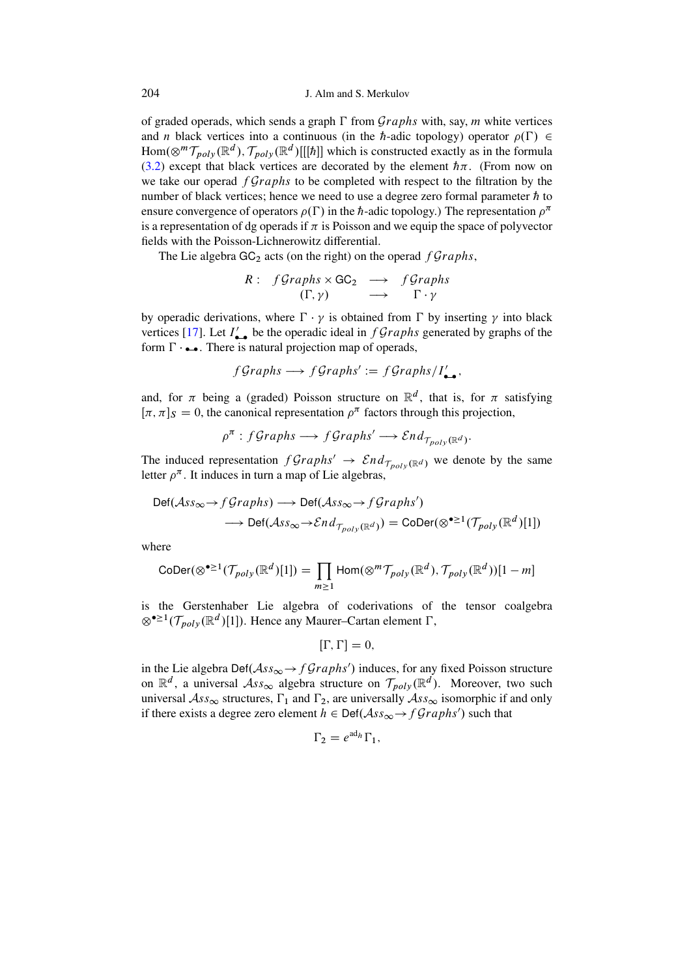of graded operads, which sends a graph  $\Gamma$  from  $Graphs$  with, say, m white vertices and *n* black vertices into a continuous (in the *h*-adic topology) operator  $\rho(\Gamma) \in$  $\text{Hom}(\otimes^m \mathcal{T}_{poly}(\mathbb{R}^d), \mathcal{T}_{poly}(\mathbb{R}^d)[[[\hbar]]$  which is constructed exactly as in the formula [\(3.2\)](#page-8-1) except that black vertices are decorated by the element  $h\pi$ . (From now on we take our operad  $fGraphs$  to be completed with respect to the filtration by the number of black vertices; hence we need to use a degree zero formal parameter  $\hbar$  to ensure convergence of operators  $\rho(\Gamma)$  in the  $\hbar$ -adic topology.) The representation  $\rho^{\pi}$ is a representation of dg operads if  $\pi$  is Poisson and we equip the space of polyvector fields with the Poisson-Lichnerowitz differential.

The Lie algebra  $GC_2$  acts (on the right) on the operad  $fGraphs$ ,

$$
R: fGraphs \times GC_2 \longrightarrow fGraphs
$$
  
( $\Gamma, \gamma$ ) \longrightarrow  $\Gamma \cdot \gamma$ 

by operadic derivations, where  $\Gamma \cdot \gamma$  is obtained from  $\Gamma$  by inserting  $\gamma$  into black vertices [\[17\]](#page-29-1). Let  $I'_{\bullet\bullet}$  be the operadic ideal in  $fGraphs$  generated by graphs of the form  $\Gamma \cdot \bullet \bullet$ . There is natural projection map of operads,

$$
fGraphs \longrightarrow fGraphs' := fGraphs/I'_{\bullet\bullet},
$$

and, for  $\pi$  being a (graded) Poisson structure on  $\mathbb{R}^d$ , that is, for  $\pi$  satisfying  $[\pi, \pi]_S = 0$ , the canonical representation  $\rho^{\pi}$  factors through this projection,

$$
\rho^{\pi}: fGraphs \longrightarrow fGraphs' \longrightarrow End_{\mathcal{T}_{poly}(\mathbb{R}^d)}.
$$

The induced representation  $fGraphs' \rightarrow End_{\mathcal{T}_{poly}(\mathbb{R}^d)}$  we denote by the same letter  $\rho^{\pi}$ . It induces in turn a map of Lie algebras,

$$
\begin{aligned} \text{Def}(\mathcal{A}ss_{\infty} &\to f\mathcal{G}raphs) \longrightarrow \text{Def}(\mathcal{A}ss_{\infty} &\to f\mathcal{G}raphs')\\ &\longrightarrow \text{Def}(\mathcal{A}ss_{\infty} &\to \mathcal{E}nd_{\mathcal{T}_{poly}(\mathbb{R}^d)}) = \text{CoDer}(\otimes^{\bullet \geq 1}(\mathcal{T}_{poly}(\mathbb{R}^d)[1]) \end{aligned}
$$

where

$$
\text{CoDer}(\otimes^{\bullet \geq 1}(\mathcal{T}_{poly}(\mathbb{R}^d)[1]) = \prod_{m \geq 1} \text{Hom}(\otimes^m \mathcal{T}_{poly}(\mathbb{R}^d), \mathcal{T}_{poly}(\mathbb{R}^d))[1-m]
$$

is the Gerstenhaber Lie algebra of coderivations of the tensor coalgebra  $\otimes$ <sup>•>1</sup>( $\mathcal{T}_{poly}(\mathbb{R}^d)[1]$ ). Hence any Maurer–Cartan element  $\Gamma$ ,

$$
[\Gamma,\Gamma]=0,
$$

in the Lie algebra Def( $\mathcal{A}ss_{\infty} \to f\mathcal{G}raphs'$ ) induces, for any fixed Poisson structure on  $\mathbb{R}^d$ , a universal  $\mathcal{A}ss_{\infty}$  algebra structure on  $\mathcal{T}_{poly}(\mathbb{R}^d)$ . Moreover, two such universal  $\mathcal{A}ss_{\infty}$  structures,  $\Gamma_1$  and  $\Gamma_2$ , are universally  $\mathcal{A}ss_{\infty}$  isomorphic if and only if there exists a degree zero element  $h \in \text{Def}(\mathcal{A}ss_{\infty} \rightarrow f\mathcal{G}raphs')$  such that

$$
\Gamma_2 = e^{\mathrm{ad}_h} \Gamma_1,
$$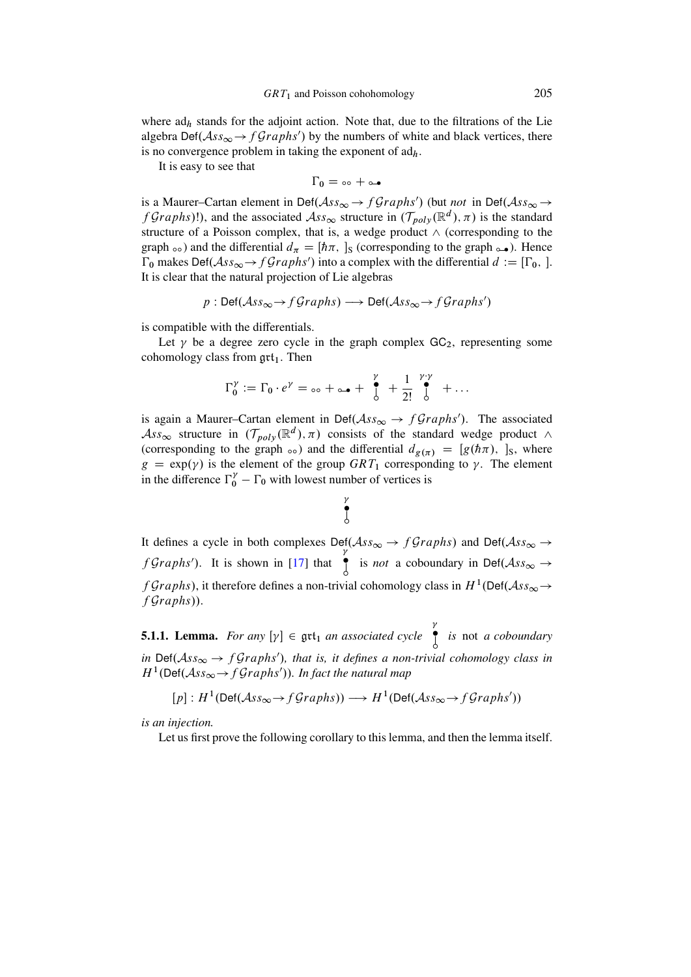where  $ad<sub>h</sub>$  stands for the adjoint action. Note that, due to the filtrations of the Lie algebra  $\text{Def}(\mathcal{A}ss_{\infty} \to f\mathcal{G}raphs')$  by the numbers of white and black vertices, there is no convergence problem in taking the exponent of  $\text{ad}_h$ .

It is easy to see that

$$
\Gamma_0=\text{d}\circ+\text{d}\bullet
$$

is a Maurer–Cartan element in Def( $\mathcal{A}ss_{\infty} \to f\mathcal{G}raphs'$ ) (but *not* in Def( $\mathcal{A}ss_{\infty} \to$ f Graphs)!), and the associated  $\mathcal{A}ss_{\infty}$  structure in  $(\mathcal{T}_{poly}(\mathbb{R}^d), \pi)$  is the standard structure of a Poisson complex, that is, a wedge product  $\wedge$  (corresponding to the graph  $\infty$ ) and the differential  $d_{\pi} = [\hbar \pi, \,]_S$  (corresponding to the graph  $\infty$ ). Hence  $\Gamma_0$  makes Def $(Ass_{\infty} \rightarrow fGraphs')$  into a complex with the differential  $d := [\Gamma_0, ]$ . It is clear that the natural projection of Lie algebras

$$
p : \text{Def}(\text{Ass}_{\infty} \to f\text{Graphs}) \longrightarrow \text{Def}(\text{Ass}_{\infty} \to f\text{Graphs}')
$$

is compatible with the differentials.

Let  $\gamma$  be a degree zero cycle in the graph complex GC<sub>2</sub>, representing some cohomology class from  $\mathfrak{grt}_1$ . Then

$$
\Gamma_0^{\gamma} := \Gamma_0 \cdot e^{\gamma} = \circ \circ + \circ \bullet + \bigg|_0^{\gamma} + \frac{1}{2!} \bigg|_0^{\gamma \cdot \gamma} + \dots
$$

is again a Maurer–Cartan element in Def( $\mathcal{A}ss_{\infty} \to f\mathcal{G}raphs'$ ). The associated  $\mathcal{A}ss_{\infty}$  structure in  $(\mathcal{T}_{poly}(\mathbb{R}^d), \pi)$  consists of the standard wedge product  $\wedge$ (corresponding to the graph  $\infty$ ) and the differential  $d_{g(\pi)} = [g(h\pi), ]_S$ , where  $g = \exp(\gamma)$  is the element of the group  $GRT_1$  corresponding to  $\gamma$ . The element in the difference  $\Gamma_0^{\gamma} - \Gamma_0$  with lowest number of vertices is

# $\frac{\gamma}{\bullet}$ ı

It defines a cycle in both complexes  $\text{Def}(\mathcal{A}ss_{\infty} \to f\mathcal{G}raphs)$  and  $\text{Def}(\mathcal{A}ss_{\infty} \to f\mathcal{G}raphs)$  $f$ Graphs'). It is shown in [\[17\]](#page-29-1) that  $\tilde{\bullet}$ is *not* a coboundary in Def $(Ass_{\infty} \rightarrow$ f Graphs), it therefore defines a non-trivial cohomology class in  $H^1(\text{Def}(\mathcal{A}ss_{\infty} \to$  $fGraphs$ ).

<span id="page-20-0"></span>5.1.1. **Lemma.** *For any*  $[\gamma] \in \text{grt}_1$  *an associated cycle* ı *is* not *a coboundary* in  $\text{Def}(Ass_{\infty} \to fGraphs')$ , that is, it defines a non-trivial cohomology class in  $H^1(\text{Def}(\mathcal{A}ss_{\infty} \to f\mathcal{G}raphs'))$ . In fact the natural map

$$
[p]: H^1(\mathsf{Def}(\mathcal{A}\mathit{ss}_\infty \to f\mathit{Graphs})) \longrightarrow H^1(\mathsf{Def}(\mathcal{A}\mathit{ss}_\infty \to f\mathit{Graphs}'))
$$

*is an injection.*

Let us first prove the following corollary to this lemma, and then the lemma itself.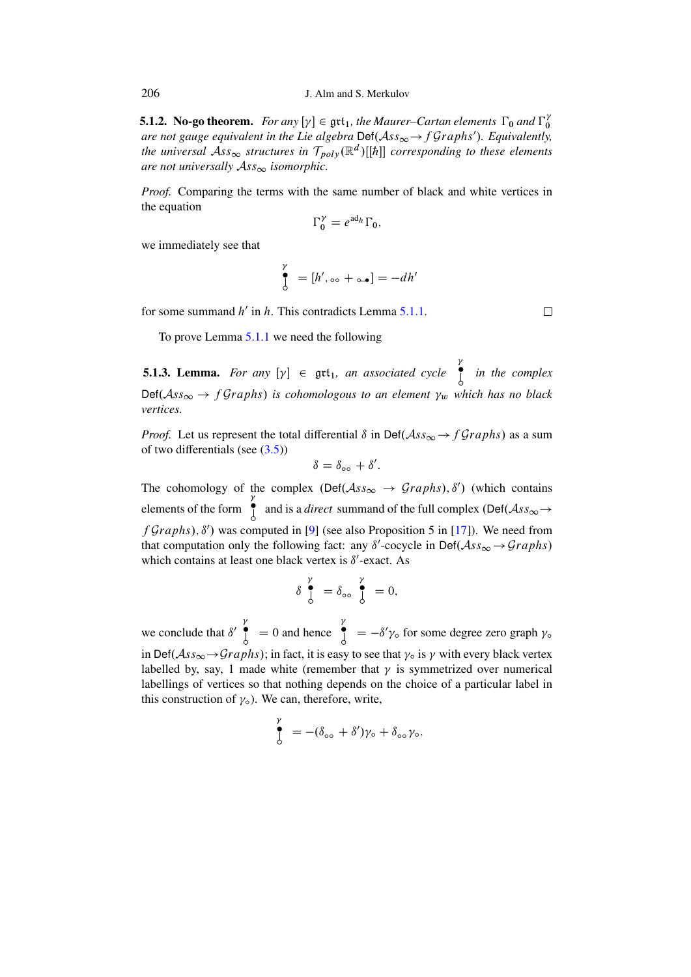**5.1.2. No-go theorem.** For any  $[\gamma] \in \text{gtt}_1$ , the Maurer–Cartan elements  $\Gamma_0$  and  $\Gamma_0^{\gamma}$ 0 are not gauge equivalent in the Lie algebra Def( $\mathcal{A}ss_{\infty} \rightarrow fGraphs'$ ). Equivalently, the universal  $\mathcal{A}ss_{\infty}$  structures in  $\mathcal{T}_{poly}(\mathbb{R}^d)[[\hbar]]$  corresponding to these elements *are not universally*  $\mathcal{A}ss_{\infty}$  *isomorphic.* 

*Proof.* Comparing the terms with the same number of black and white vertices in the equation

$$
\Gamma_0^{\gamma} = e^{\mathrm{ad}_h} \Gamma_0,
$$

we immediately see that

$$
\int_{0}^{\gamma} = [h', \circ \circ + \circ \bullet] = -dh'
$$

for some summand  $h'$  in  $h$ . This contradicts Lemma [5.1.1.](#page-20-0)

 $\Box$ 

To prove Lemma [5.1.1](#page-20-0) we need the following

<span id="page-21-0"></span>**5.1.3. Lemma.** For any  $[\gamma] \in \text{grt}_1$ , an associated cycle ı *in the complex*  $Def(Ass_{\infty} \rightarrow fGraphs)$  is cohomologous to an element  $\gamma_w$  which has no black *vertices.*

*Proof.* Let us represent the total differential  $\delta$  in Def $(Ass_{\infty} \rightarrow fGraphs)$  as a sum of two differentials (see [\(3.5\)](#page-12-1))

$$
\delta = \delta_{\infty} + \delta'.
$$

The cohomology of the complex  $(\text{Def}(\mathcal{A}ss_{\infty} \rightarrow \text{Graphs}), \delta')$  (which contains elements of the form  $\tilde{\bullet}$ and is a *direct* summand of the full complex  $(\text{Def}(\mathcal{A}ss_{\infty} \rightarrow$  $fGraphs), \delta'$  was computed in [\[9\]](#page-28-12) (see also Proposition 5 in [\[17\]](#page-29-1)). We need from that computation only the following fact: any  $\delta'$ -cocycle in Def $(Ass_{\infty} \rightarrow Graphs)$ which contains at least one black vertex is  $\delta'$ -exact. As

$$
\delta \int_{0}^{\gamma} = \delta_{\infty} \int_{0}^{\gamma} = 0,
$$

we conclude that  $\delta'$  $\int_{0}^{\gamma}$  = 0 and hence  $\int_{0}^{\gamma}$  $\int_{0}^{\infty}$  =  $-\delta' \gamma_0$  for some degree zero graph  $\gamma_0$ in Def $(Ass_{\infty} {\rightarrow} Graphs)$ ; in fact, it is easy to see that  $\gamma_0$  is  $\gamma$  with every black vertex labelled by, say, 1 made white (remember that  $\gamma$  is symmetrized over numerical labellings of vertices so that nothing depends on the choice of a particular label in this construction of  $\gamma$ <sub>o</sub>). We can, therefore, write,

$$
\int_{0}^{\gamma} = -(\delta_{\infty} + \delta')\gamma_{\circ} + \delta_{\infty}\gamma_{\circ}.
$$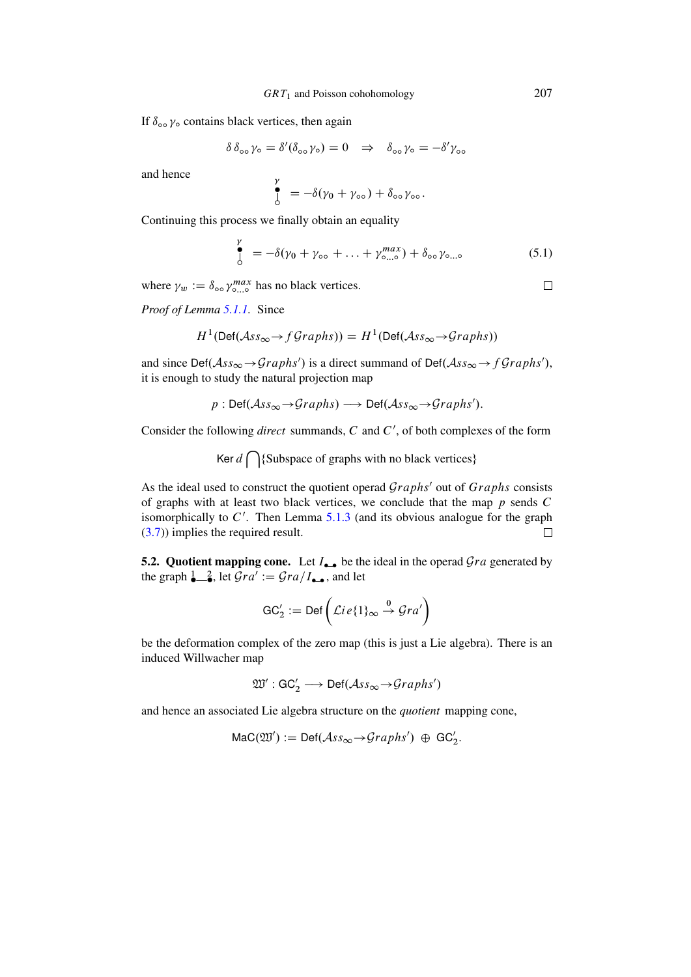If  $\delta_{\alpha}$   $\gamma$  contains black vertices, then again

$$
\delta \delta_{\infty} \gamma_{\infty} = \delta'(\delta_{\infty} \gamma_{\infty}) = 0 \quad \Rightarrow \quad \delta_{\infty} \gamma_{\infty} = -\delta' \gamma_{\infty}
$$

and hence

$$
\int_{0}^{\gamma} = -\delta(\gamma_0 + \gamma_{\infty}) + \delta_{\infty} \gamma_{\infty}.
$$

Continuing this process we finally obtain an equality

$$
\int_{0}^{\gamma} = -\delta(\gamma_{0} + \gamma_{\infty} + ... + \gamma_{\infty}^{max}) + \delta_{\infty} \gamma_{\infty}.
$$
 (5.1)

where  $\gamma_w := \delta_{\infty} \gamma_{\circ}^{max}$  has no black vertices.

 $\mathbb{R}^2$ 

*Proof of Lemma [5.1.1.](#page-20-0)* Since

$$
H^{1}(\text{Def}(\mathcal{A}ss_{\infty} \to f\mathcal{G}raphs)) = H^{1}(\text{Def}(\mathcal{A}ss_{\infty} \to \mathcal{G}raphs))
$$

and since Def( $\mathcal{A}ss_{\infty} \rightarrow Graphs'$ ) is a direct summand of Def( $\mathcal{A}ss_{\infty} \rightarrow fGraphs'$ ), it is enough to study the natural projection map

$$
p : \text{Def}(\mathcal{A}ss_{\infty} \to Graphs) \longrightarrow \text{Def}(\mathcal{A}ss_{\infty} \to Graphs').
$$

Consider the following *direct* summands,  $C$  and  $C'$ , of both complexes of the form

Ker  $d \bigcap$ {Subspace of graphs with no black vertices}

As the ideal used to construct the quotient operad  $Graphs'$  out of  $Graphs$  consists of graphs with at least two black vertices, we conclude that the map  $p$  sends  $C$ isomorphically to  $C'$ . Then Lemma [5.1.3](#page-21-0) (and its obvious analogue for the graph [\(3.7\)](#page-12-0)) implies the required result.  $\Box$ 

5.2. Quotient mapping cone. Let  $I_{\bullet\bullet}$  be the ideal in the operad  $Gra$  generated by the graph  $\frac{1}{2}$ , let  $\overline{\mathcal{G}ra'} := \overline{\mathcal{G}ra/I_{\bullet\bullet}}$ , and let

$$
\mathrm{GC}_2' := \mathsf{Def}\left(\mathcal{L}ie\{1\}_{\infty} \stackrel{0}{\rightarrow} \mathcal{G}ra'\right)
$$

be the deformation complex of the zero map (this is just a Lie algebra). There is an induced Willwacher map

$$
\mathfrak{W}': \mathsf{GC}_2' \longrightarrow \mathsf{Def}(\mathcal{A}\mathit{ss}_{\infty} \rightarrow \mathit{Graphs}')
$$

and hence an associated Lie algebra structure on the *quotient* mapping cone,

 $\textsf{Mac}(\mathfrak{W}') := \textsf{Def}(\mathcal{A}\mathit{ss}_{\infty} \rightarrow \mathcal{Graphs}') \oplus \textsf{GC}'_2.$ 

 $\Box$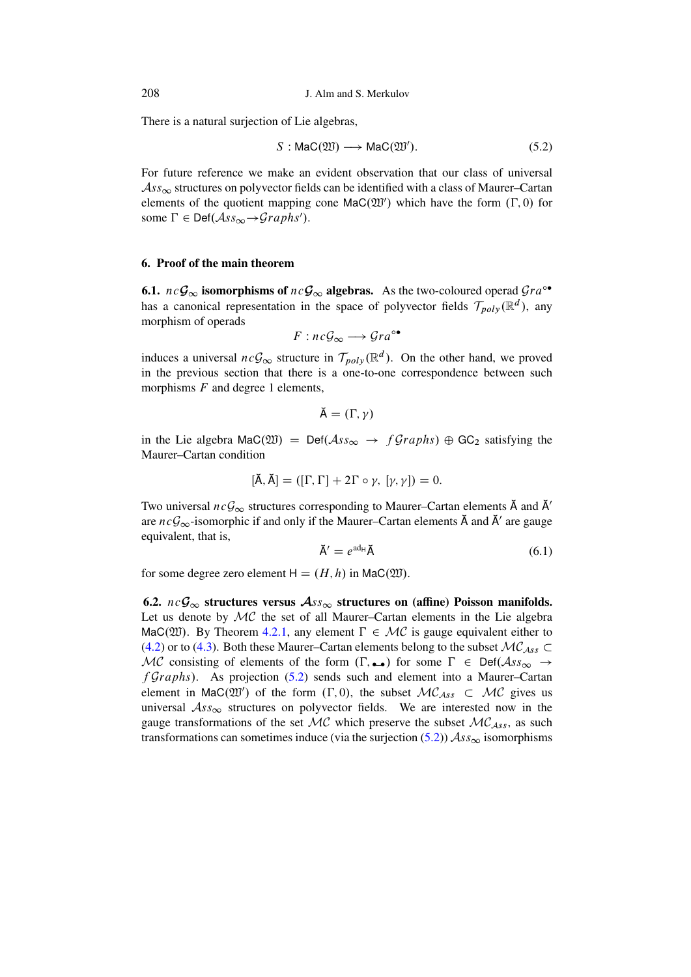There is a natural surjection of Lie algebras,

<span id="page-23-0"></span>
$$
S: \text{Mac}(\mathfrak{W}) \longrightarrow \text{Mac}(\mathfrak{W}'). \tag{5.2}
$$

For future reference we make an evident observation that our class of universal  $\mathcal{A}$ ss<sub>∞</sub> structures on polyvector fields can be identified with a class of Maurer-Cartan elements of the quotient mapping cone  $\text{Mac}(\mathfrak{W}')$  which have the form  $(\Gamma, 0)$  for some  $\Gamma \in \text{Def}(\mathcal{A}ss_{\infty} \rightarrow Graphs')$ .

## 6. Proof of the main theorem

**6.1.**  $nc\mathcal{G}_{\infty}$  isomorphisms of  $nc\mathcal{G}_{\infty}$  algebras. As the two-coloured operad  $Gra^{\circ\bullet}$ has a canonical representation in the space of polyvector fields  $\mathcal{T}_{nolv}(\mathbb{R}^d)$ , any morphism of operads

$$
F: nc\mathcal{G}_{\infty} \longrightarrow Gra^{\circ\bullet}
$$

induces a universal  $ncG_{\infty}$  structure in  $\mathcal{T}_{poly}(\mathbb{R}^d)$ . On the other hand, we proved in the previous section that there is a one-to-one correspondence between such morphisms  $F$  and degree 1 elements,

$$
\breve{\mathsf{A}}=(\Gamma,\gamma)
$$

in the Lie algebra MaC(20) = Def( $\mathcal{A}ss_{\infty} \rightarrow fGraphs$ )  $\oplus$  GC<sub>2</sub> satisfying the Maurer-Cartan condition

$$
[\mathbf{A}, \mathbf{A}] = ([\Gamma, \Gamma] + 2\Gamma \circ \gamma, [\gamma, \gamma]) = 0.
$$

Two universal  $ncG_{\infty}$  structures corresponding to Maurer-Cartan elements  $\tilde{A}$  and  $\tilde{A}'$ are  $ncG_{\infty}$ -isomorphic if and only if the Maurer-Cartan elements  $\tilde{A}$  and  $\tilde{A}'$  are gauge equivalent, that is,

<span id="page-23-1"></span>
$$
\breve{\mathsf{A}}' = e^{\text{ad}_{\mathsf{H}}} \breve{\mathsf{A}} \tag{6.1}
$$

for some degree zero element  $H = (H, h)$  in MaC(220).

6.2.  $nc\mathcal{G}_{\infty}$  structures versus  $\mathcal{A}_{SS_{\infty}}$  structures on (affine) Poisson manifolds. Let us denote by MC the set of all Maurer-Cartan elements in the Lie algebra MaC(20). By Theorem 4.2.1, any element  $\Gamma \in \mathcal{MC}$  is gauge equivalent either to  $(4.2)$  or to (4.3). Both these Maurer–Cartan elements belong to the subset  $\mathcal{MC}_{Ass}$ MC consisting of elements of the form  $(\Gamma, \rightarrow)$  for some  $\Gamma \in \text{Def}(\mathcal{A}ss_{\infty} \rightarrow$  $fGraphs$ ). As projection (5.2) sends such and element into a Maurer-Cartan element in MaC( $\mathfrak{W}'$ ) of the form  $(\Gamma, 0)$ , the subset  $\mathcal{MC}_{Ass} \subset \mathcal{MC}$  gives us universal  $\mathcal{A}ss_{\infty}$  structures on polyvector fields. We are interested now in the gauge transformations of the set  $MC$  which preserve the subset  $MC<sub>Ass</sub>$ , as such transformations can sometimes induce (via the surjection  $(5.2)$ )  $\mathcal{A}ss_{\infty}$  isomorphisms

208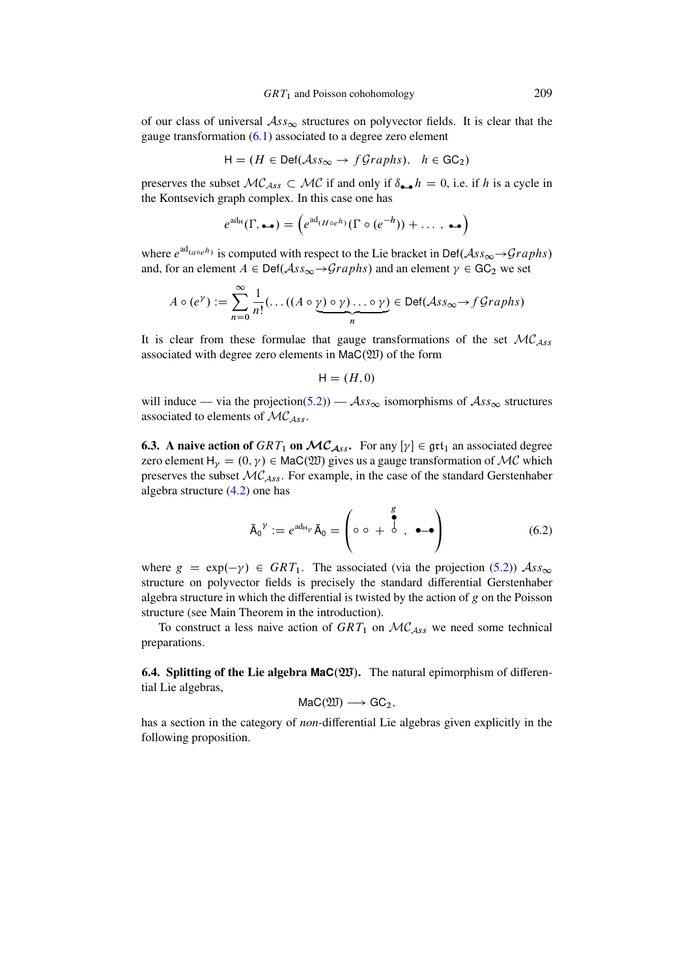of our class of universal  $\mathcal{A}ss_{\infty}$  structures on polyvector fields. It is clear that the gauge transformation [\(6.1\)](#page-23-1) associated to a degree zero element

$$
H = (H \in Def(\mathcal{A}ss_{\infty} \to f\mathcal{G}raphs), \quad h \in GC_2)
$$

preserves the subset  $MC_{Ass} \subset MC$  if and only if  $\delta_{\bullet \bullet} h = 0$ , i.e. if h is a cycle in the Kontsevich graph complex. In this case one has

$$
e^{ad_H}(\Gamma, \bullet \bullet) = \left(e^{ad_{(H \circ e^h)}}(\Gamma \circ (e^{-h})) + \dots, \bullet \bullet\right)
$$

where  $e^{ad_{(a\circ e^h)}}$  is computed with respect to the Lie bracket in Def $(Ass_{\infty} \rightarrow Graphs)$ and, for an element  $A \in \text{Def}(\mathcal{A}ss_{\infty} \rightarrow Graphs)$  and an element  $\gamma \in \text{GC}_2$  we set

$$
A \circ (e^{\gamma}) := \sum_{n=0}^{\infty} \frac{1}{n!} (\dots ((A \circ \gamma) \circ \gamma) \dots \circ \gamma) \in \text{Def}(\mathcal{A}ss_{\infty} \to f\mathcal{G}raphs)
$$

It is clear from these formulae that gauge transformations of the set  $MC<sub>Ass</sub>$ associated with degree zero elements in  $\text{Mac}(\mathfrak{W})$  of the form

$$
\mathsf{H}=(H,0)
$$

will induce — via the projection[\(5.2\)](#page-23-0)) —  $\mathcal{A}ss_{\infty}$  isomorphisms of  $\mathcal{A}ss_{\infty}$  structures associated to elements of  $\mathcal{MC}_{Ass.}$ 

**6.3.** A naive action of  $GRT_1$  on  $MC_{Ass.}$  For any  $[\gamma] \in \text{grt}_1$  an associated degree zero element  $H_v = (0, \gamma) \in \text{Mac}(\mathfrak{W})$  gives us a gauge transformation of MC which preserves the subset  $\mathcal{MC}_{Ass}$ . For example, in the case of the standard Gerstenhaber algebra structure [\(4.2\)](#page-17-0) one has

<span id="page-24-0"></span>
$$
\tilde{A}_0{}^{\gamma} := e^{ad_{H\gamma}} \tilde{A}_0 = \begin{pmatrix} g \\ \circ \circ + \circ^g, & \bullet \bullet \\ \circ & \bullet \end{pmatrix} \tag{6.2}
$$

where  $g = \exp(-\gamma) \in GRT_1$ . The associated (via the projection [\(5.2\)](#page-23-0))  $\mathcal{A}ss_{\infty}$ structure on polyvector fields is precisely the standard differential Gerstenhaber algebra structure in which the differential is twisted by the action of  $g$  on the Poisson structure (see Main Theorem in the introduction).

To construct a less naive action of  $GRT_1$  on  $MC_{Ass}$  we need some technical preparations.

**6.4. Splitting of the Lie algebra**  $\text{Mac}(\mathfrak{W})$ **.** The natural epimorphism of differential Lie algebras,

$$
\text{Mac}(\mathfrak{W}) \longrightarrow \text{GC}_2,
$$

has a section in the category of *non*-differential Lie algebras given explicitly in the following proposition.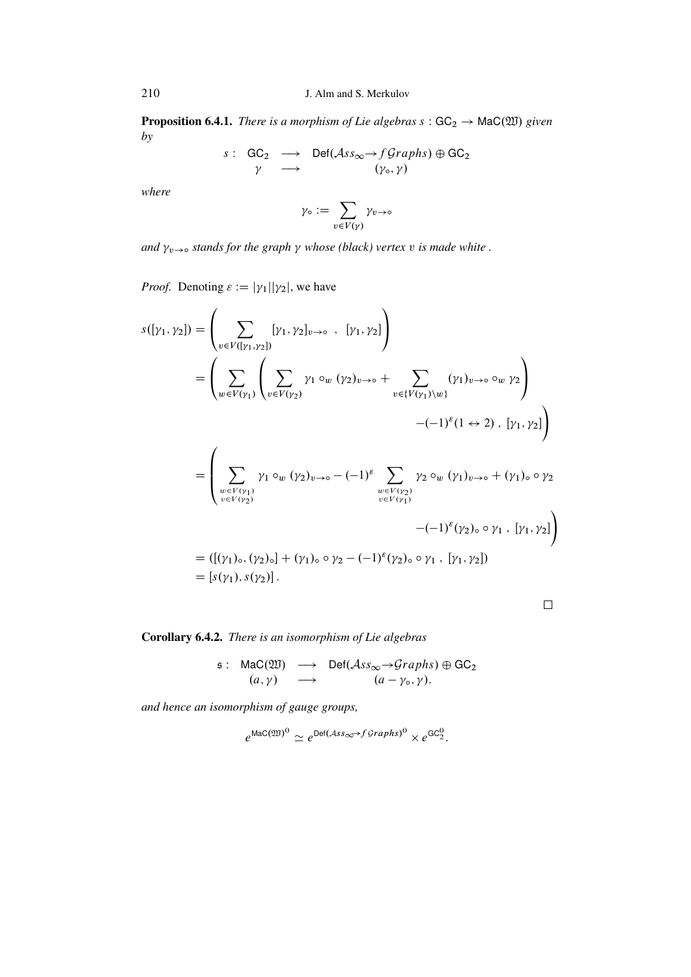**Proposition 6.4.1.** There is a morphism of Lie algebras  $s : GC_2 \rightarrow \text{Mac}(\mathfrak{W})$  given  $by$ 

$$
s: GC_2 \longrightarrow Def(\mathcal{A}ss_{\infty} \rightarrow fGraphs) \oplus GC_2
$$
  

$$
\gamma \longrightarrow (\gamma_{\circ}, \gamma)
$$

where

$$
\gamma_{\circ} := \sum_{v \in V(\gamma)} \gamma_{v \to \circ}
$$

and  $\gamma_{v\rightarrow\infty}$  stands for the graph  $\gamma$  whose (black) vertex v is made white .

*Proof.* Denoting  $\varepsilon := |\gamma_1||\gamma_2|$ , we have

$$
s([y_1, y_2]) = \left(\sum_{v \in V([y_1, y_2])} [y_1, y_2]_{v \to o} , [y_1, y_2] \right)
$$
  
\n
$$
= \left(\sum_{w \in V(y_1)} \left(\sum_{v \in V(y_2)} y_1 \circ_w (y_2)_{v \to o} + \sum_{v \in \{V(y_1)\} \setminus w\}} (y_1)_{v \to o} \circ_w y_2 \right) - (-1)^{\varepsilon} (1 \leftrightarrow 2), [y_1, y_2] \right)
$$
  
\n
$$
= \left(\sum_{\substack{w \in V(y_1) \\ v \in V(y_2)}} y_1 \circ_w (y_2)_{v \to o} - (-1)^{\varepsilon} \sum_{\substack{w \in V(y_2) \\ v \in V(y_1)}} y_2 \circ_w (y_1)_{v \to o} + (y_1)_{o} \circ y_2
$$
  
\n
$$
- (-1)^{\varepsilon} (y_2)_{o} \circ y_1 , [y_1, y_2] \right)
$$
  
\n
$$
= ([y_1)_{o}, (y_2)_{o}] + (y_1)_{o} \circ y_2 - (-1)^{\varepsilon} (y_2)_{o} \circ y_1 , [y_1, y_2])
$$
  
\n
$$
= [s(y_1), s(y_2)].
$$

 $\Box$ 

# Corollary 6.4.2. There is an isomorphism of Lie algebras

$$
\begin{array}{rcl}\n\mathfrak{s}: & \text{Mac}(\mathfrak{W}) & \longrightarrow & \text{Def}(\mathcal{A}ss_{\infty} \rightarrow Graphs) \oplus \text{GC}_2 \\
(a, \gamma) & \longrightarrow & (a - \gamma_{\circ}, \gamma).\n\end{array}
$$

and hence an isomorphism of gauge groups,

$$
e^{\text{Mac}(\mathfrak{W})^0} \simeq e^{\text{Def}(Ass_{\infty} \rightarrow fGraphs)^0} \times e^{\text{GC}_2^0}.
$$

210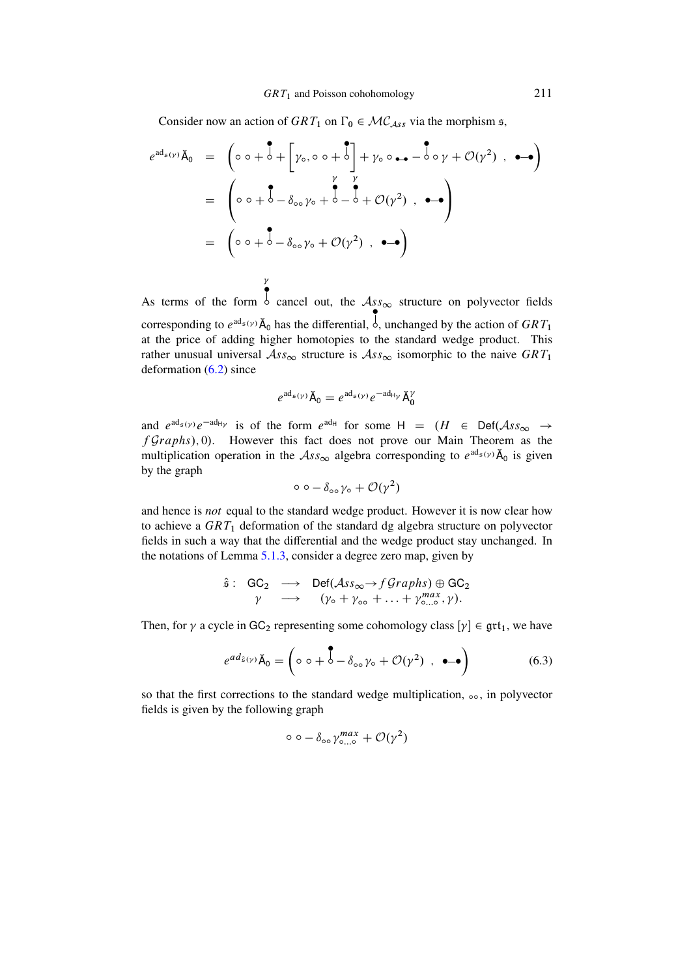Consider now an action of  $GRT_1$  on  $\Gamma_0 \in \mathcal{MC}_{Ass}$  via the morphism  $\mathfrak{s}$ ,

$$
e^{ad_{\mathfrak{s}(\gamma)}}\tilde{A}_{0} = \begin{pmatrix} \circ & \circ + \circ + \left[\gamma_{\circ}, \circ \circ + \circ\right] + \gamma_{\circ} \circ \bullet - \circ \circ \gamma + \mathcal{O}(\gamma^{2}) , & \bullet - \bullet \end{pmatrix}
$$

$$
= \begin{pmatrix} \circ & \circ + \circ - \delta_{\circ} \circ \gamma_{\circ} + \circ - \circ + \mathcal{O}(\gamma^{2}) , & \bullet - \bullet \end{pmatrix}
$$

$$
= \begin{pmatrix} \circ & \circ + \circ - \delta_{\circ} \circ \gamma_{\circ} + \mathcal{O}(\gamma^{2}) , & \bullet - \bullet \end{pmatrix}
$$

As terms of the form  $\frac{1}{2}$  cancel out, the  $\mathcal{A}_{ss\infty}$  structure on polyvector fields corresponding to  $e^{ad_{\mathfrak{s}}(\gamma)}$   $\check{A}_0$  has the differential,  $\dot{\phi}$ , unchanged by the action of  $GRT_1$ at the price of adding higher homotopies to the standard wedge product. This rather unusual universal  $\mathcal{A}ss_{\infty}$  structure is  $\mathcal{A}ss_{\infty}$  isomorphic to the naive  $GRT_1$ deformation [\(6.2\)](#page-24-0) since

 $\gamma$  $\zeta$ 

$$
e^{ad_{\mathfrak{s}}(\gamma)}\breve{\mathsf{A}}_0 = e^{ad_{\mathfrak{s}}(\gamma)}e^{-ad_{\mathsf{H}\gamma}}\breve{\mathsf{A}}_0^{\gamma}
$$

and  $e^{ad_{\mathfrak{s}}(\gamma)}e^{-ad_{\mathfrak{h}}\gamma}$  is of the form  $e^{ad_{\mathfrak{h}}}$  for some  $H = (H \in Def(\mathcal{A}ss_{\infty} \rightarrow$  $fGraphs$ , 0). However this fact does not prove our Main Theorem as the multiplication operation in the  $\mathcal{A}ss_{\infty}$  algebra corresponding to  $e^{ad_{\mathfrak{s}}(\gamma)}\tilde{A}_0$  is given by the graph

$$
\circ \circ - \delta_{\circ \circ} \gamma_{\circ} + \mathcal{O}(\gamma^2)
$$

and hence is *not* equal to the standard wedge product. However it is now clear how to achieve a  $GRT_1$  deformation of the standard dg algebra structure on polyvector fields in such a way that the differential and the wedge product stay unchanged. In the notations of Lemma [5.1.3,](#page-21-0) consider a degree zero map, given by

$$
\hat{\mathfrak{s}}: \begin{array}{ccc} \hat{\mathfrak{s}}: & \hat{\mathsf{GC}}_2 \longrightarrow & \mathsf{Def}(\mathcal{A}ss_{\infty} \rightarrow f\mathcal{G}raphs) \oplus \mathsf{GC}_2 \\ \gamma & \longrightarrow & (\gamma_{\circ} + \gamma_{\circ\circ} + \ldots + \gamma_{\circ\ldots\circ}^{max}, \gamma). \end{array}
$$

Then, for  $\gamma$  a cycle in GC<sub>2</sub> representing some cohomology class  $[\gamma] \in \text{grt}_1$ , we have

<span id="page-26-0"></span>
$$
e^{ad_{\hat{\mathfrak{s}}(\gamma)}}\check{\mathsf{A}}_0 = \left(\circ \circ + \overset{\bullet}{\circ} - \delta_{\circ \circ} \gamma_{\circ} + \mathcal{O}(\gamma^2) \ , \ \bullet \to \right) \tag{6.3}
$$

so that the first corrections to the standard wedge multiplication,  $\infty$ , in polyvector fields is given by the following graph

$$
\circ \circ - \delta_{\circ \circ} \gamma_{\circ \dots \circ}^{max} + \mathcal{O}(\gamma^2)
$$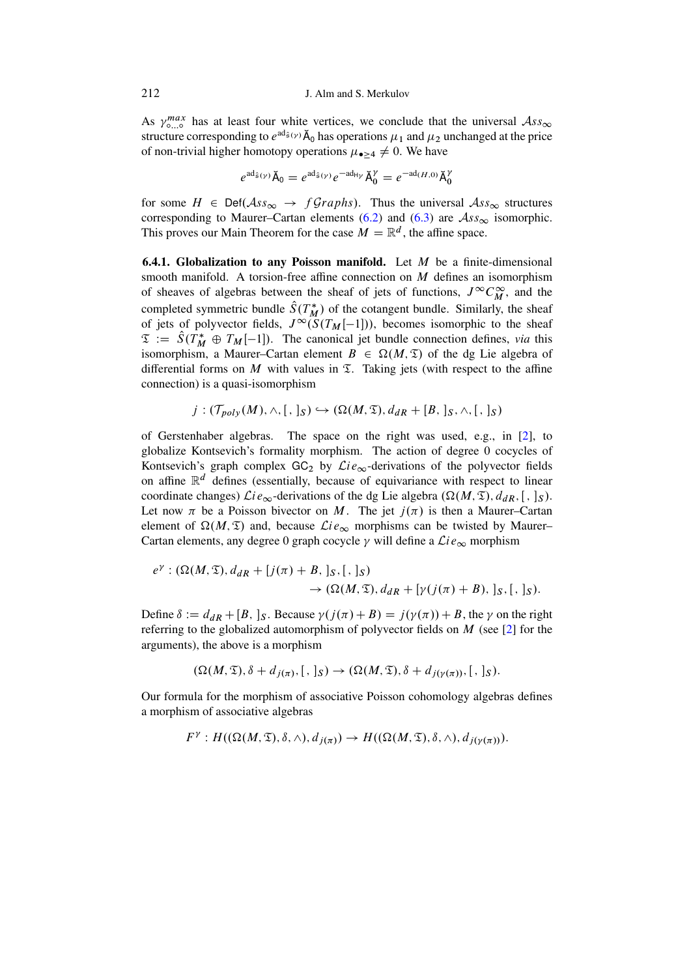As  $\gamma_{\circ}^{max}$  has at least four white vertices, we conclude that the universal  $\mathcal{A}ss_{\infty}$ structure corresponding to  $e^{ad_{\hat{\mathfrak{s}}(\gamma)}}\tilde{A}_0$  has operations  $\mu_1$  and  $\mu_2$  unchanged at the price of non-trivial higher homotopy operations  $\mu_{\bullet>4} \neq 0$ . We have

$$
e^{\mathrm{ad}_{\hat{\mathfrak{s}}}(\gamma)}\check{\mathsf{A}}_0 = e^{\mathrm{ad}_{\hat{\mathfrak{s}}}(\gamma)}e^{-\mathrm{ad}_{\mathsf{H}\gamma}}\check{\mathsf{A}}_0^{\gamma} = e^{-\mathrm{ad}_{(H,0)}}\check{\mathsf{A}}_0^{\gamma}
$$

for some  $H \in Def(\mathcal{A}ss_{\infty} \rightarrow f\mathcal{G}raphs)$ . Thus the universal  $\mathcal{A}ss_{\infty}$  structures corresponding to Maurer-Cartan elements (6.2) and (6.3) are  $\mathcal{A}ss_{\infty}$  isomorphic. This proves our Main Theorem for the case  $M = \mathbb{R}^d$ , the affine space.

**6.4.1. Globalization to any Poisson manifold.** Let  $M$  be a finite-dimensional smooth manifold. A torsion-free affine connection on  $M$  defines an isomorphism of sheaves of algebras between the sheaf of jets of functions,  $J^{\infty}C_M^{\infty}$ , and the completed symmetric bundle  $\hat{S}(T_M^*)$  of the cotangent bundle. Similarly, the sheaf of jets of polyvector fields,  $J^{\infty}(S(T_M[-1]))$ , becomes isomorphic to the sheaf  $\mathfrak{T} := \hat{S}(T_M^* \oplus T_M[-1])$ . The canonical jet bundle connection defines, via this isomorphism, a Maurer-Cartan element  $B \in \Omega(M, \mathfrak{T})$  of the dg Lie algebra of differential forms on M with values in  $\Sigma$ . Taking jets (with respect to the affine connection) is a quasi-isomorphism

$$
j: (\mathcal{T}_{poly}(M), \wedge, [,],S) \hookrightarrow (\Omega(M, \mathfrak{T}), d_{dR} + [B, ],S, \wedge, [,],S)
$$

of Gerstenhaber algebras. The space on the right was used, e.g., in [2], to globalize Kontsevich's formality morphism. The action of degree 0 cocycles of Kontsevich's graph complex GC<sub>2</sub> by  $\mathcal{L}ie_{\infty}$ -derivations of the polyvector fields on affine  $\mathbb{R}^d$  defines (essentially, because of equivariance with respect to linear coordinate changes)  $\mathcal{L}ie_{\infty}$ -derivations of the dg Lie algebra  $(\Omega(M, \mathfrak{T}), d_{dR}, [ , ]_{S}).$ Let now  $\pi$  be a Poisson bivector on M. The jet  $j(\pi)$  is then a Maurer-Cartan element of  $\Omega(M, \mathfrak{T})$  and, because  $\mathcal{L}ie_{\infty}$  morphisms can be twisted by Maurer-Cartan elements, any degree 0 graph cocycle  $\gamma$  will define a  $\mathcal{L}ie_{\infty}$  morphism

$$
e^{\gamma}: (\Omega(M, \mathfrak{T}), d_{dR} + [j(\pi) + B, ]_S, [, ]_S)
$$
  

$$
\rightarrow (\Omega(M, \mathfrak{T}), d_{dR} + [\gamma(j(\pi) + B), ]_S, [, ]_S).
$$

Define  $\delta := d_{dR} + [B, ]_S$ . Because  $\gamma(j(\pi) + B) = j(\gamma(\pi)) + B$ , the  $\gamma$  on the right referring to the globalized automorphism of polyvector fields on  $M$  (see [2] for the arguments), the above is a morphism

$$
(\Omega(M,\mathfrak{T}),\delta+d_{i(\pi)},[,]_S)\to (\Omega(M,\mathfrak{T}),\delta+d_{i(\gamma(\pi))},[,]_S).
$$

Our formula for the morphism of associative Poisson cohomology algebras defines a morphism of associative algebras

$$
F^{\gamma}: H((\Omega(M,\mathfrak{T}),\delta,\wedge),d_{j(\pi)})\rightarrow H((\Omega(M,\mathfrak{T}),\delta,\wedge),d_{j(\gamma(\pi))}).
$$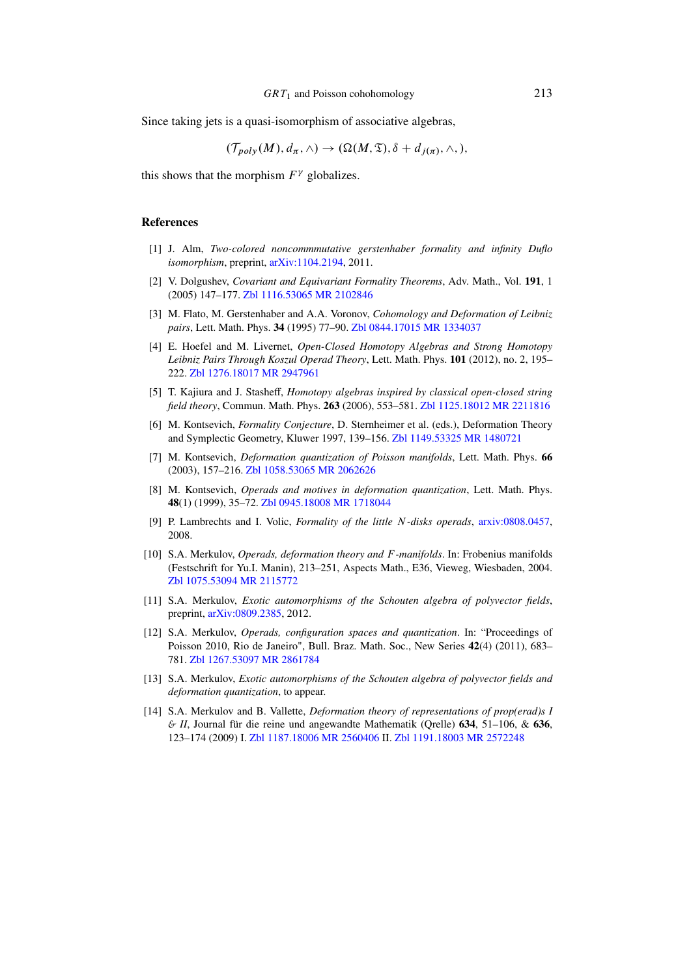Since taking jets is a quasi-isomorphism of associative algebras,

$$
(\mathcal{T}_{poly}(M), d_{\pi}, \wedge) \to (\Omega(M, \mathfrak{T}), \delta + d_{j(\pi)}, \wedge, ),
$$

this shows that the morphism  $F^{\gamma}$  globalizes.

# References

- <span id="page-28-3"></span>[1] J. Alm, *Two-colored noncommmutative gerstenhaber formality and infinity Duflo isomorphism*, preprint, [arXiv:1104.2194,](http://arxiv.org/abs/1104.2194) 2011.
- <span id="page-28-13"></span>[2] V. Dolgushev, *Covariant and Equivariant Formality Theorems*, Adv. Math., Vol. 191, 1 (2005) 147–177. [Zbl 1116.53065](https://zbmath.org/?q=an:1116.53065) [MR 2102846](http://www.ams.org/mathscinet-getitem?mr=MR2102846)
- <span id="page-28-8"></span>[3] M. Flato, M. Gerstenhaber and A.A. Voronov, *Cohomology and Deformation of Leibniz pairs*, Lett. Math. Phys. 34 (1995) 77–90. [Zbl 0844.17015](https://zbmath.org/?q=an:0844.17015) [MR 1334037](http://www.ams.org/mathscinet-getitem?mr=MR1334037)
- <span id="page-28-7"></span>[4] E. Hoefel and M. Livernet, *Open-Closed Homotopy Algebras and Strong Homotopy Leibniz Pairs Through Koszul Operad Theory*, Lett. Math. Phys. 101 (2012), no. 2, 195– 222. [Zbl 1276.18017](https://zbmath.org/?q=an:1276.18017) [MR 2947961](http://www.ams.org/mathscinet-getitem?mr=MR2947961)
- <span id="page-28-6"></span>[5] T. Kajiura and J. Stasheff, *Homotopy algebras inspired by classical open-closed string field theory*, Commun. Math. Phys. 263 (2006), 553–581. [Zbl 1125.18012](https://zbmath.org/?q=an:1125.18012) [MR 2211816](http://www.ams.org/mathscinet-getitem?mr=MR2211816)
- <span id="page-28-10"></span>[6] M. Kontsevich, *Formality Conjecture*, D. Sternheimer et al. (eds.), Deformation Theory and Symplectic Geometry, Kluwer 1997, 139–156. [Zbl 1149.53325](https://zbmath.org/?q=an:1149.53325) [MR 1480721](http://www.ams.org/mathscinet-getitem?mr=MR1480721)
- <span id="page-28-4"></span>[7] M. Kontsevich, *Deformation quantization of Poisson manifolds*, Lett. Math. Phys. 66 (2003), 157–216. [Zbl 1058.53065](https://zbmath.org/?q=an:1058.53065) [MR 2062626](http://www.ams.org/mathscinet-getitem?mr=MR2062626)
- <span id="page-28-2"></span>[8] M. Kontsevich, *Operads and motives in deformation quantization*, Lett. Math. Phys. 48(1) (1999), 35–72. [Zbl 0945.18008](https://zbmath.org/?q=an:0945.18008) [MR 1718044](http://www.ams.org/mathscinet-getitem?mr=MR1718044)
- <span id="page-28-12"></span>[9] P. Lambrechts and I. Volic, *Formality of the little* N*-disks operads*, [arxiv:0808.0457,](http://arxiv.org/abs/0808.0457) 2008.
- <span id="page-28-9"></span>[10] S.A. Merkulov, *Operads, deformation theory and* F *-manifolds*. In: Frobenius manifolds (Festschrift for Yu.I. Manin), 213–251, Aspects Math., E36, Vieweg, Wiesbaden, 2004. [Zbl 1075.53094](https://zbmath.org/?q=an:1075.53094) [MR 2115772](http://www.ams.org/mathscinet-getitem?mr=MR2115772)
- <span id="page-28-0"></span>[11] S.A. Merkulov, *Exotic automorphisms of the Schouten algebra of polyvector fields*, preprint, [arXiv:0809.2385,](http://arxiv.org/abs/0809.2385) 2012.
- <span id="page-28-5"></span>[12] S.A. Merkulov, *Operads, configuration spaces and quantization*. In: "Proceedings of Poisson 2010, Rio de Janeiro", Bull. Braz. Math. Soc., New Series 42(4) (2011), 683– 781. [Zbl 1267.53097](https://zbmath.org/?q=an:1267.53097) [MR 2861784](http://www.ams.org/mathscinet-getitem?mr=MR2861784)
- <span id="page-28-1"></span>[13] S.A. Merkulov, *Exotic automorphisms of the Schouten algebra of polyvector fields and deformation quantization*, to appear.
- <span id="page-28-11"></span>[14] S.A. Merkulov and B. Vallette, *Deformation theory of representations of prop(erad)s I* & *II*, Journal für die reine und angewandte Mathematik (Qrelle) 634, 51–106, & 636, 123–174 (2009) I. [Zbl 1187.18006](https://zbmath.org/?q=an:1187.18006) [MR 2560406](http://www.ams.org/mathscinet-getitem?mr=MR2560406) II. [Zbl 1191.18003](https://zbmath.org/?q=an:1191.18003) [MR 2572248](http://www.ams.org/mathscinet-getitem?mr=MR2572248)